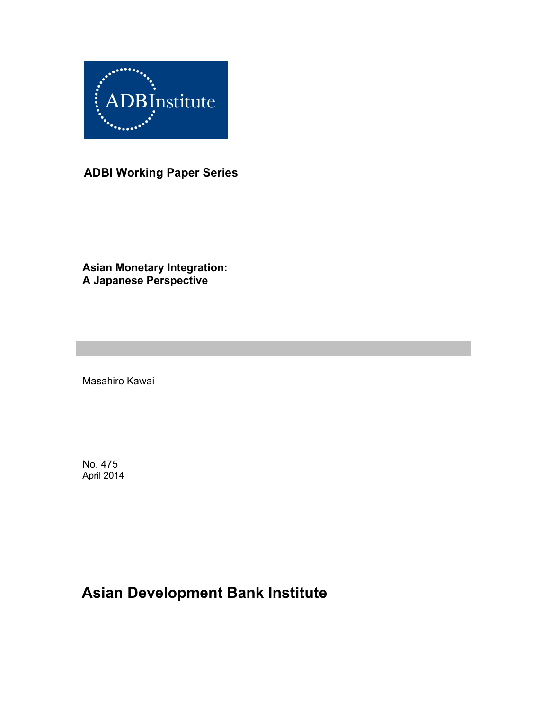

**ADBI Working Paper Series** 

**Asian Monetary Integration: A Japanese Perspective** 

Masahiro Kawai

No. 475 April 2014

# **Asian Development Bank Institute**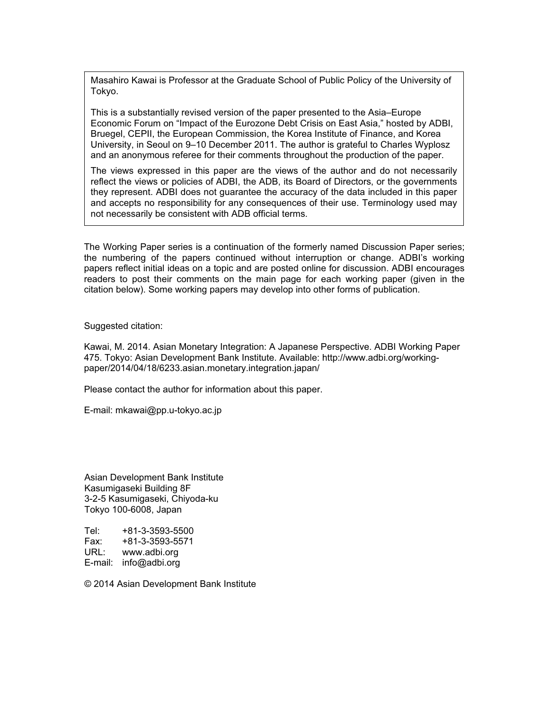Masahiro Kawai is Professor at the Graduate School of Public Policy of the University of Tokyo.

This is a substantially revised version of the paper presented to the Asia–Europe Economic Forum on "Impact of the Eurozone Debt Crisis on East Asia," hosted by ADBI, Bruegel, CEPII, the European Commission, the Korea Institute of Finance, and Korea University, in Seoul on 9–10 December 2011. The author is grateful to Charles Wyplosz and an anonymous referee for their comments throughout the production of the paper.

The views expressed in this paper are the views of the author and do not necessarily reflect the views or policies of ADBI, the ADB, its Board of Directors, or the governments they represent. ADBI does not guarantee the accuracy of the data included in this paper and accepts no responsibility for any consequences of their use. Terminology used may not necessarily be consistent with ADB official terms.

The Working Paper series is a continuation of the formerly named Discussion Paper series; the numbering of the papers continued without interruption or change. ADBI's working papers reflect initial ideas on a topic and are posted online for discussion. ADBI encourages readers to post their comments on the main page for each working paper (given in the citation below). Some working papers may develop into other forms of publication.

Suggested citation:

Kawai, M. 2014. Asian Monetary Integration: A Japanese Perspective. ADBI Working Paper 475. Tokyo: Asian Development Bank Institute. Available: http://www.adbi.org/workingpaper/2014/04/18/6233.asian.monetary.integration.japan/

Please contact the author for information about this paper.

E-mail: mkawai@pp.u-tokyo.ac.jp

Asian Development Bank Institute Kasumigaseki Building 8F 3-2-5 Kasumigaseki, Chiyoda-ku Tokyo 100-6008, Japan

Tel: +81-3-3593-5500 Fax: +81-3-3593-5571 URL: www.adbi.org E-mail: info@adbi.org

© 2014 Asian Development Bank Institute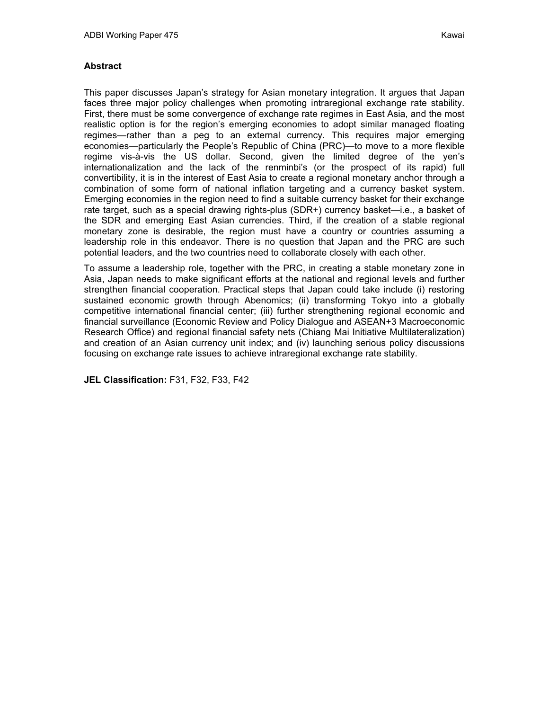#### **Abstract**

This paper discusses Japan's strategy for Asian monetary integration. It argues that Japan faces three major policy challenges when promoting intraregional exchange rate stability. First, there must be some convergence of exchange rate regimes in East Asia, and the most realistic option is for the region's emerging economies to adopt similar managed floating regimes—rather than a peg to an external currency. This requires major emerging economies—particularly the People's Republic of China (PRC)—to move to a more flexible regime vis-à-vis the US dollar. Second, given the limited degree of the yen's internationalization and the lack of the renminbi's (or the prospect of its rapid) full convertibility, it is in the interest of East Asia to create a regional monetary anchor through a combination of some form of national inflation targeting and a currency basket system. Emerging economies in the region need to find a suitable currency basket for their exchange rate target, such as a special drawing rights-plus (SDR+) currency basket—i.e., a basket of the SDR and emerging East Asian currencies. Third, if the creation of a stable regional monetary zone is desirable, the region must have a country or countries assuming a leadership role in this endeavor. There is no question that Japan and the PRC are such potential leaders, and the two countries need to collaborate closely with each other.

To assume a leadership role, together with the PRC, in creating a stable monetary zone in Asia, Japan needs to make significant efforts at the national and regional levels and further strengthen financial cooperation. Practical steps that Japan could take include (i) restoring sustained economic growth through Abenomics; (ii) transforming Tokyo into a globally competitive international financial center; (iii) further strengthening regional economic and financial surveillance (Economic Review and Policy Dialogue and ASEAN+3 Macroeconomic Research Office) and regional financial safety nets (Chiang Mai Initiative Multilateralization) and creation of an Asian currency unit index; and (iv) launching serious policy discussions focusing on exchange rate issues to achieve intraregional exchange rate stability.

**JEL Classification:** F31, F32, F33, F42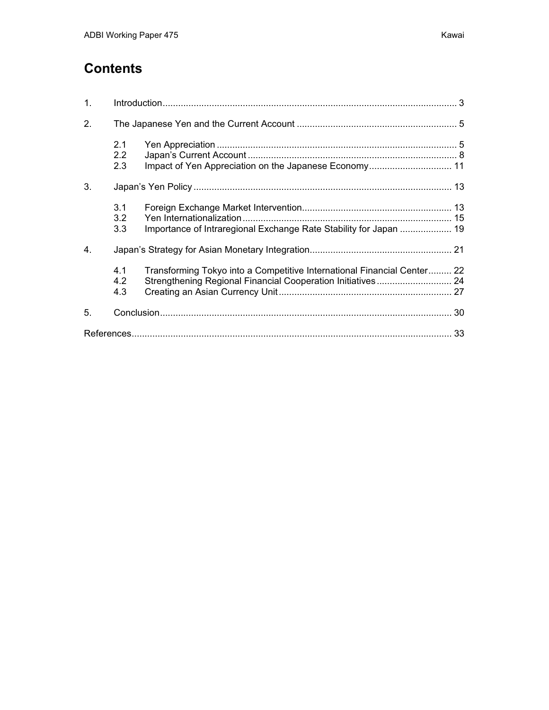# **Contents**

| 1. |                   |                                                                         |  |  |  |  |  |  |  |
|----|-------------------|-------------------------------------------------------------------------|--|--|--|--|--|--|--|
| 2. |                   |                                                                         |  |  |  |  |  |  |  |
|    | 2.1<br>2.2<br>2.3 |                                                                         |  |  |  |  |  |  |  |
| 3. |                   |                                                                         |  |  |  |  |  |  |  |
|    | 3.1<br>3.2<br>3.3 | Importance of Intraregional Exchange Rate Stability for Japan  19       |  |  |  |  |  |  |  |
| 4. |                   |                                                                         |  |  |  |  |  |  |  |
|    | 4.1<br>4.2<br>4.3 | Transforming Tokyo into a Competitive International Financial Center 22 |  |  |  |  |  |  |  |
| 5. |                   |                                                                         |  |  |  |  |  |  |  |
|    |                   |                                                                         |  |  |  |  |  |  |  |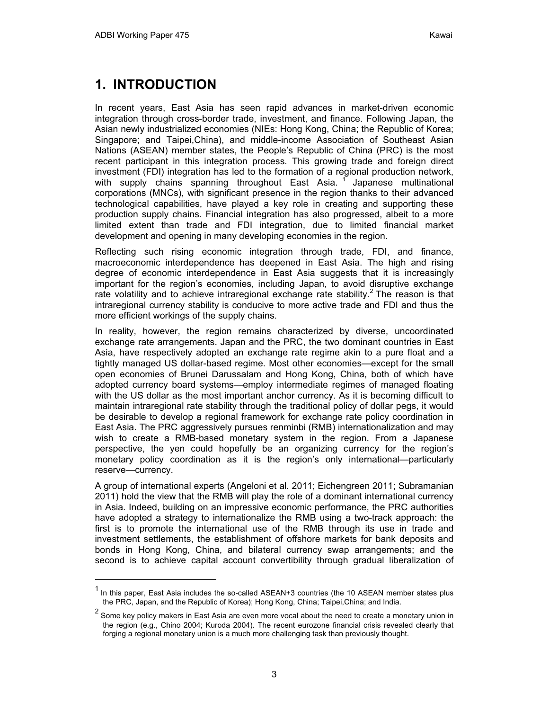$\overline{a}$ 

# **1. INTRODUCTION**

In recent years, East Asia has seen rapid advances in market-driven economic integration through cross-border trade, investment, and finance. Following Japan, the Asian newly industrialized economies (NIEs: Hong Kong, China; the Republic of Korea; Singapore; and Taipei,China), and middle-income Association of Southeast Asian Nations (ASEAN) member states, the People's Republic of China (PRC) is the most recent participant in this integration process. This growing trade and foreign direct investment (FDI) integration has led to the formation of a regional production network, with supply chains spanning throughout East Asia.<sup>1</sup> Japanese multinational corporations (MNCs), with significant presence in the region thanks to their advanced technological capabilities, have played a key role in creating and supporting these production supply chains. Financial integration has also progressed, albeit to a more limited extent than trade and FDI integration, due to limited financial market development and opening in many developing economies in the region.

Reflecting such rising economic integration through trade, FDI, and finance, macroeconomic interdependence has deepened in East Asia. The high and rising degree of economic interdependence in East Asia suggests that it is increasingly important for the region's economies, including Japan, to avoid disruptive exchange rate volatility and to achieve intraregional exchange rate stability.<sup>2</sup> The reason is that intraregional currency stability is conducive to more active trade and FDI and thus the more efficient workings of the supply chains.

In reality, however, the region remains characterized by diverse, uncoordinated exchange rate arrangements. Japan and the PRC, the two dominant countries in East Asia, have respectively adopted an exchange rate regime akin to a pure float and a tightly managed US dollar-based regime. Most other economies—except for the small open economies of Brunei Darussalam and Hong Kong, China, both of which have adopted currency board systems—employ intermediate regimes of managed floating with the US dollar as the most important anchor currency. As it is becoming difficult to maintain intraregional rate stability through the traditional policy of dollar pegs, it would be desirable to develop a regional framework for exchange rate policy coordination in East Asia. The PRC aggressively pursues renminbi (RMB) internationalization and may wish to create a RMB-based monetary system in the region. From a Japanese perspective, the yen could hopefully be an organizing currency for the region's monetary policy coordination as it is the region's only international—particularly reserve—currency.

A group of international experts (Angeloni et al. 2011; Eichengreen 2011; Subramanian 2011) hold the view that the RMB will play the role of a dominant international currency in Asia. Indeed, building on an impressive economic performance, the PRC authorities have adopted a strategy to internationalize the RMB using a two-track approach: the first is to promote the international use of the RMB through its use in trade and investment settlements, the establishment of offshore markets for bank deposits and bonds in Hong Kong, China, and bilateral currency swap arrangements; and the second is to achieve capital account convertibility through gradual liberalization of

 $1$  In this paper, East Asia includes the so-called ASEAN+3 countries (the 10 ASEAN member states plus the PRC, Japan, and the Republic of Korea); Hong Kong, China; Taipei,China; and India.

 $^2$  Some key policy makers in East Asia are even more vocal about the need to create a monetary union in the region (e.g., Chino 2004; Kuroda 2004). The recent eurozone financial crisis revealed clearly that forging a regional monetary union is a much more challenging task than previously thought.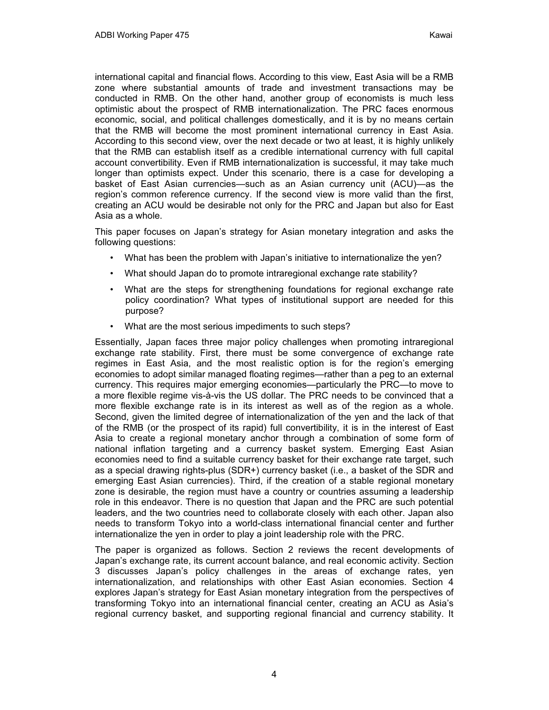international capital and financial flows. According to this view, East Asia will be a RMB zone where substantial amounts of trade and investment transactions may be conducted in RMB. On the other hand, another group of economists is much less optimistic about the prospect of RMB internationalization. The PRC faces enormous economic, social, and political challenges domestically, and it is by no means certain that the RMB will become the most prominent international currency in East Asia. According to this second view, over the next decade or two at least, it is highly unlikely that the RMB can establish itself as a credible international currency with full capital account convertibility. Even if RMB internationalization is successful, it may take much longer than optimists expect. Under this scenario, there is a case for developing a basket of East Asian currencies—such as an Asian currency unit (ACU)—as the region's common reference currency. If the second view is more valid than the first, creating an ACU would be desirable not only for the PRC and Japan but also for East Asia as a whole.

This paper focuses on Japan's strategy for Asian monetary integration and asks the following questions:

- What has been the problem with Japan's initiative to internationalize the yen?
- What should Japan do to promote intraregional exchange rate stability?
- What are the steps for strengthening foundations for regional exchange rate policy coordination? What types of institutional support are needed for this purpose?
- What are the most serious impediments to such steps?

Essentially, Japan faces three major policy challenges when promoting intraregional exchange rate stability. First, there must be some convergence of exchange rate regimes in East Asia, and the most realistic option is for the region's emerging economies to adopt similar managed floating regimes—rather than a peg to an external currency. This requires major emerging economies—particularly the PRC—to move to a more flexible regime vis-à-vis the US dollar. The PRC needs to be convinced that a more flexible exchange rate is in its interest as well as of the region as a whole. Second, given the limited degree of internationalization of the yen and the lack of that of the RMB (or the prospect of its rapid) full convertibility, it is in the interest of East Asia to create a regional monetary anchor through a combination of some form of national inflation targeting and a currency basket system. Emerging East Asian economies need to find a suitable currency basket for their exchange rate target, such as a special drawing rights-plus (SDR+) currency basket (i.e., a basket of the SDR and emerging East Asian currencies). Third, if the creation of a stable regional monetary zone is desirable, the region must have a country or countries assuming a leadership role in this endeavor. There is no question that Japan and the PRC are such potential leaders, and the two countries need to collaborate closely with each other. Japan also needs to transform Tokyo into a world-class international financial center and further internationalize the yen in order to play a joint leadership role with the PRC.

The paper is organized as follows. Section 2 reviews the recent developments of Japan's exchange rate, its current account balance, and real economic activity. Section 3 discusses Japan's policy challenges in the areas of exchange rates, yen internationalization, and relationships with other East Asian economies. Section 4 explores Japan's strategy for East Asian monetary integration from the perspectives of transforming Tokyo into an international financial center, creating an ACU as Asia's regional currency basket, and supporting regional financial and currency stability. It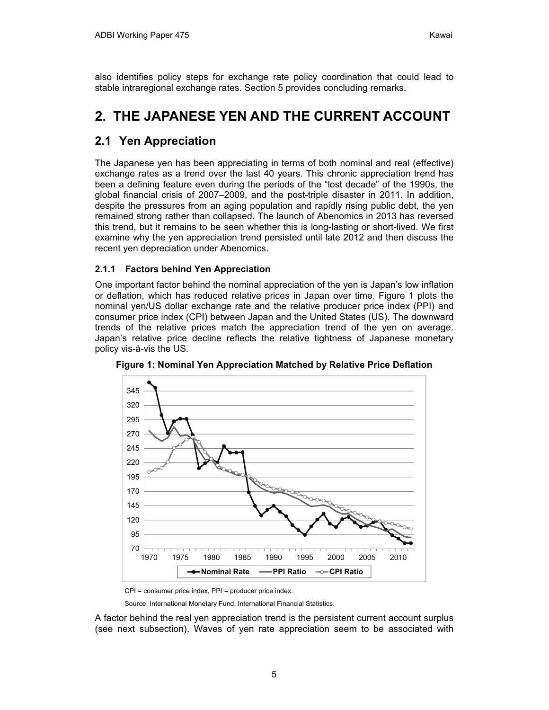also identifies policy steps for exchange rate policy coordination that could lead to stable intraregional exchange rates. Section 5 provides concluding remarks.

# **2. THE JAPANESE YEN AND THE CURRENT ACCOUNT**

# **2.1 Yen Appreciation**

The Japanese yen has been appreciating in terms of both nominal and real (effective) exchange rates as a trend over the last 40 years. This chronic appreciation trend has been a defining feature even during the periods of the "lost decade" of the 1990s, the global financial crisis of 2007–2009, and the post-triple disaster in 2011. In addition, despite the pressures from an aging population and rapidly rising public debt, the yen remained strong rather than collapsed. The launch of Abenomics in 2013 has reversed this trend, but it remains to be seen whether this is long-lasting or short-lived. We first examine why the yen appreciation trend persisted until late 2012 and then discuss the recent yen depreciation under Abenomics.

## **2.1.1 Factors behind Yen Appreciation**

One important factor behind the nominal appreciation of the yen is Japan's low inflation or deflation, which has reduced relative prices in Japan over time. Figure 1 plots the nominal yen/US dollar exchange rate and the relative producer price index (PPI) and consumer price index (CPI) between Japan and the United States (US). The downward trends of the relative prices match the appreciation trend of the yen on average. Japan's relative price decline reflects the relative tightness of Japanese monetary policy vis-à-vis the US.



**Figure 1: Nominal Yen Appreciation Matched by Relative Price Deflation** 

CPI = consumer price index, PPI = producer price index.

Source: International Monetary Fund, International Financial Statistics.

A factor behind the real yen appreciation trend is the persistent current account surplus (see next subsection). Waves of yen rate appreciation seem to be associated with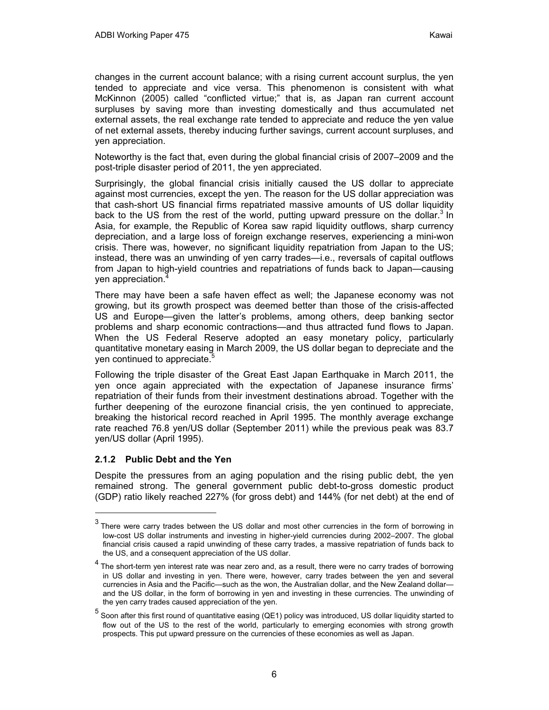changes in the current account balance; with a rising current account surplus, the yen tended to appreciate and vice versa. This phenomenon is consistent with what McKinnon (2005) called "conflicted virtue;" that is, as Japan ran current account surpluses by saving more than investing domestically and thus accumulated net external assets, the real exchange rate tended to appreciate and reduce the yen value of net external assets, thereby inducing further savings, current account surpluses, and yen appreciation.

Noteworthy is the fact that, even during the global financial crisis of 2007–2009 and the post-triple disaster period of 2011, the yen appreciated.

Surprisingly, the global financial crisis initially caused the US dollar to appreciate against most currencies, except the yen. The reason for the US dollar appreciation was that cash-short US financial firms repatriated massive amounts of US dollar liquidity back to the US from the rest of the world, putting upward pressure on the dollar.<sup>3</sup> In Asia, for example, the Republic of Korea saw rapid liquidity outflows, sharp currency depreciation, and a large loss of foreign exchange reserves, experiencing a mini-won crisis. There was, however, no significant liquidity repatriation from Japan to the US; instead, there was an unwinding of yen carry trades—i.e., reversals of capital outflows from Japan to high-yield countries and repatriations of funds back to Japan—causing yen appreciation.

There may have been a safe haven effect as well; the Japanese economy was not growing, but its growth prospect was deemed better than those of the crisis-affected US and Europe—given the latter's problems, among others, deep banking sector problems and sharp economic contractions—and thus attracted fund flows to Japan. When the US Federal Reserve adopted an easy monetary policy, particularly quantitative monetary easing in March 2009, the US dollar began to depreciate and the yen continued to appreciate.<sup>5</sup>

Following the triple disaster of the Great East Japan Earthquake in March 2011, the yen once again appreciated with the expectation of Japanese insurance firms' repatriation of their funds from their investment destinations abroad. Together with the further deepening of the eurozone financial crisis, the yen continued to appreciate, breaking the historical record reached in April 1995. The monthly average exchange rate reached 76.8 yen/US dollar (September 2011) while the previous peak was 83.7 yen/US dollar (April 1995).

#### **2.1.2 Public Debt and the Yen**

 $\overline{a}$ 

Despite the pressures from an aging population and the rising public debt, the yen remained strong. The general government public debt-to-gross domestic product (GDP) ratio likely reached 227% (for gross debt) and 144% (for net debt) at the end of

 $3$  There were carry trades between the US dollar and most other currencies in the form of borrowing in low-cost US dollar instruments and investing in higher-yield currencies during 2002–2007. The global financial crisis caused a rapid unwinding of these carry trades, a massive repatriation of funds back to the US, and a consequent appreciation of the US dollar.

 $^4$  The short-term yen interest rate was near zero and, as a result, there were no carry trades of borrowing in US dollar and investing in yen. There were, however, carry trades between the yen and several currencies in Asia and the Pacific—such as the won, the Australian dollar, and the New Zealand dollar and the US dollar, in the form of borrowing in yen and investing in these currencies. The unwinding of the yen carry trades caused appreciation of the yen.

 $^5$  Soon after this first round of quantitative easing (QE1) policy was introduced, US dollar liquidity started to flow out of the US to the rest of the world, particularly to emerging economies with strong growth prospects. This put upward pressure on the currencies of these economies as well as Japan.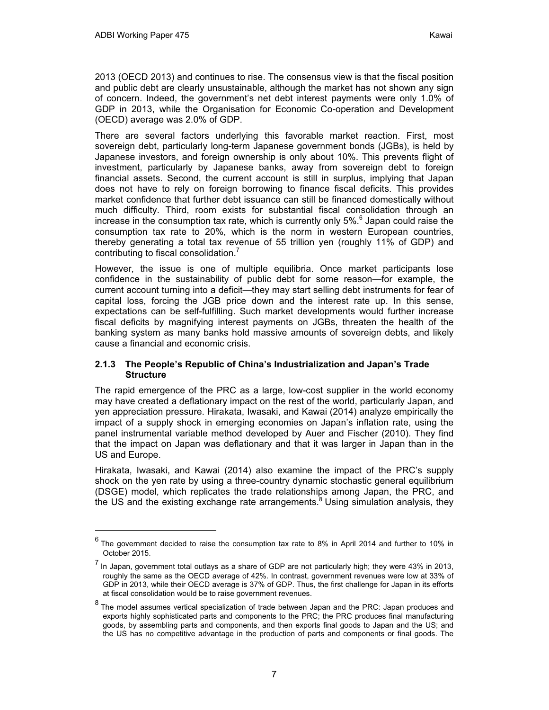$\overline{a}$ 

2013 (OECD 2013) and continues to rise. The consensus view is that the fiscal position and public debt are clearly unsustainable, although the market has not shown any sign of concern. Indeed, the government's net debt interest payments were only 1.0% of GDP in 2013, while the Organisation for Economic Co-operation and Development (OECD) average was 2.0% of GDP.

There are several factors underlying this favorable market reaction. First, most sovereign debt, particularly long-term Japanese government bonds (JGBs), is held by Japanese investors, and foreign ownership is only about 10%. This prevents flight of investment, particularly by Japanese banks, away from sovereign debt to foreign financial assets. Second, the current account is still in surplus, implying that Japan does not have to rely on foreign borrowing to finance fiscal deficits. This provides market confidence that further debt issuance can still be financed domestically without much difficulty. Third, room exists for substantial fiscal consolidation through an increase in the consumption tax rate, which is currently only 5%. $^6$  Japan could raise the consumption tax rate to 20%, which is the norm in western European countries, thereby generating a total tax revenue of 55 trillion yen (roughly 11% of GDP) and contributing to fiscal consolidation.

However, the issue is one of multiple equilibria. Once market participants lose confidence in the sustainability of public debt for some reason—for example, the current account turning into a deficit—they may start selling debt instruments for fear of capital loss, forcing the JGB price down and the interest rate up. In this sense, expectations can be self-fulfilling. Such market developments would further increase fiscal deficits by magnifying interest payments on JGBs, threaten the health of the banking system as many banks hold massive amounts of sovereign debts, and likely cause a financial and economic crisis.

#### **2.1.3 The People's Republic of China's Industrialization and Japan's Trade Structure**

The rapid emergence of the PRC as a large, low-cost supplier in the world economy may have created a deflationary impact on the rest of the world, particularly Japan, and yen appreciation pressure. Hirakata, Iwasaki, and Kawai (2014) analyze empirically the impact of a supply shock in emerging economies on Japan's inflation rate, using the panel instrumental variable method developed by Auer and Fischer (2010). They find that the impact on Japan was deflationary and that it was larger in Japan than in the US and Europe.

Hirakata, Iwasaki, and Kawai (2014) also examine the impact of the PRC's supply shock on the yen rate by using a three-country dynamic stochastic general equilibrium (DSGE) model, which replicates the trade relationships among Japan, the PRC, and the US and the existing exchange rate arrangements.<sup>8</sup> Using simulation analysis, they

 $^6$  The government decided to raise the consumption tax rate to 8% in April 2014 and further to 10% in October 2015.

 $^7$  In Japan, government total outlays as a share of GDP are not particularly high; they were 43% in 2013, roughly the same as the OECD average of 42%. In contrast, government revenues were low at 33% of GDP in 2013, while their OECD average is 37% of GDP. Thus, the first challenge for Japan in its efforts at fiscal consolidation would be to raise government revenues.

 $^8$  The model assumes vertical specialization of trade between Japan and the PRC: Japan produces and exports highly sophisticated parts and components to the PRC; the PRC produces final manufacturing goods, by assembling parts and components, and then exports final goods to Japan and the US; and the US has no competitive advantage in the production of parts and components or final goods. The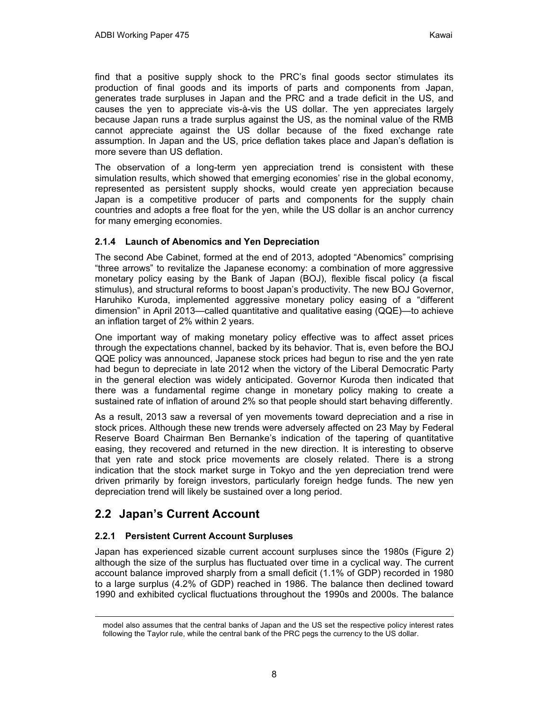find that a positive supply shock to the PRC's final goods sector stimulates its production of final goods and its imports of parts and components from Japan, generates trade surpluses in Japan and the PRC and a trade deficit in the US, and causes the yen to appreciate vis-à-vis the US dollar. The yen appreciates largely because Japan runs a trade surplus against the US, as the nominal value of the RMB cannot appreciate against the US dollar because of the fixed exchange rate assumption. In Japan and the US, price deflation takes place and Japan's deflation is more severe than US deflation.

The observation of a long-term yen appreciation trend is consistent with these simulation results, which showed that emerging economies' rise in the global economy, represented as persistent supply shocks, would create yen appreciation because Japan is a competitive producer of parts and components for the supply chain countries and adopts a free float for the yen, while the US dollar is an anchor currency for many emerging economies.

### **2.1.4 Launch of Abenomics and Yen Depreciation**

The second Abe Cabinet, formed at the end of 2013, adopted "Abenomics" comprising "three arrows" to revitalize the Japanese economy: a combination of more aggressive monetary policy easing by the Bank of Japan (BOJ), flexible fiscal policy (a fiscal stimulus), and structural reforms to boost Japan's productivity. The new BOJ Governor, Haruhiko Kuroda, implemented aggressive monetary policy easing of a "different dimension" in April 2013—called quantitative and qualitative easing (QQE)—to achieve an inflation target of 2% within 2 years.

One important way of making monetary policy effective was to affect asset prices through the expectations channel, backed by its behavior. That is, even before the BOJ QQE policy was announced, Japanese stock prices had begun to rise and the yen rate had begun to depreciate in late 2012 when the victory of the Liberal Democratic Party in the general election was widely anticipated. Governor Kuroda then indicated that there was a fundamental regime change in monetary policy making to create a sustained rate of inflation of around 2% so that people should start behaving differently.

As a result, 2013 saw a reversal of yen movements toward depreciation and a rise in stock prices. Although these new trends were adversely affected on 23 May by Federal Reserve Board Chairman Ben Bernanke's indication of the tapering of quantitative easing, they recovered and returned in the new direction. It is interesting to observe that yen rate and stock price movements are closely related. There is a strong indication that the stock market surge in Tokyo and the yen depreciation trend were driven primarily by foreign investors, particularly foreign hedge funds. The new yen depreciation trend will likely be sustained over a long period.

# **2.2 Japan's Current Account**

## **2.2.1 Persistent Current Account Surpluses**

Japan has experienced sizable current account surpluses since the 1980s (Figure 2) although the size of the surplus has fluctuated over time in a cyclical way. The current account balance improved sharply from a small deficit (1.1% of GDP) recorded in 1980 to a large surplus (4.2% of GDP) reached in 1986. The balance then declined toward 1990 and exhibited cyclical fluctuations throughout the 1990s and 2000s. The balance

model also assumes that the central banks of Japan and the US set the respective policy interest rates following the Taylor rule, while the central bank of the PRC pegs the currency to the US dollar.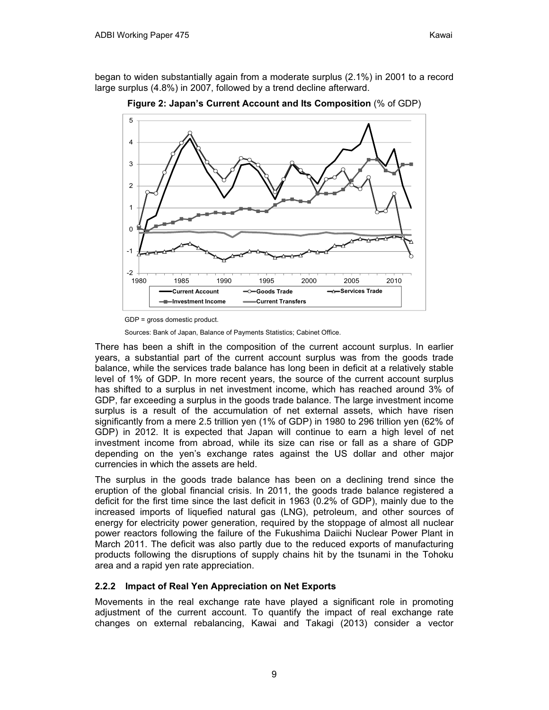began to widen substantially again from a moderate surplus (2.1%) in 2001 to a record large surplus (4.8%) in 2007, followed by a trend decline afterward.



**Figure 2: Japan's Current Account and Its Composition** (% of GDP)

Sources: Bank of Japan, Balance of Payments Statistics; Cabinet Office.

There has been a shift in the composition of the current account surplus. In earlier years, a substantial part of the current account surplus was from the goods trade balance, while the services trade balance has long been in deficit at a relatively stable level of 1% of GDP. In more recent years, the source of the current account surplus has shifted to a surplus in net investment income, which has reached around 3% of GDP, far exceeding a surplus in the goods trade balance. The large investment income surplus is a result of the accumulation of net external assets, which have risen significantly from a mere 2.5 trillion yen (1% of GDP) in 1980 to 296 trillion yen (62% of GDP) in 2012. It is expected that Japan will continue to earn a high level of net investment income from abroad, while its size can rise or fall as a share of GDP depending on the yen's exchange rates against the US dollar and other major currencies in which the assets are held.

The surplus in the goods trade balance has been on a declining trend since the eruption of the global financial crisis. In 2011, the goods trade balance registered a deficit for the first time since the last deficit in 1963 (0.2% of GDP), mainly due to the increased imports of liquefied natural gas (LNG), petroleum, and other sources of energy for electricity power generation, required by the stoppage of almost all nuclear power reactors following the failure of the Fukushima Daiichi Nuclear Power Plant in March 2011. The deficit was also partly due to the reduced exports of manufacturing products following the disruptions of supply chains hit by the tsunami in the Tohoku area and a rapid yen rate appreciation.

#### **2.2.2 Impact of Real Yen Appreciation on Net Exports**

Movements in the real exchange rate have played a significant role in promoting adjustment of the current account. To quantify the impact of real exchange rate changes on external rebalancing, Kawai and Takagi (2013) consider a vector

GDP = gross domestic product.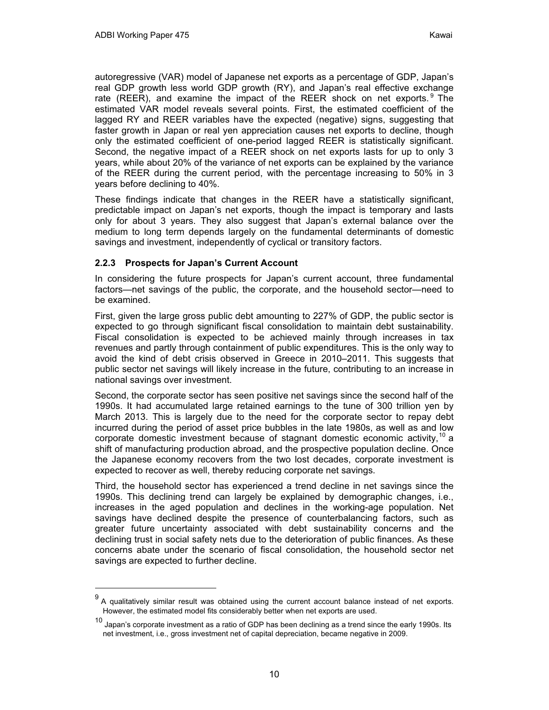$\overline{a}$ 

autoregressive (VAR) model of Japanese net exports as a percentage of GDP, Japan's real GDP growth less world GDP growth (RY), and Japan's real effective exchange rate (REER), and examine the impact of the REER shock on net exports.  $9$  The estimated VAR model reveals several points. First, the estimated coefficient of the lagged RY and REER variables have the expected (negative) signs, suggesting that faster growth in Japan or real yen appreciation causes net exports to decline, though only the estimated coefficient of one-period lagged REER is statistically significant. Second, the negative impact of a REER shock on net exports lasts for up to only 3 years, while about 20% of the variance of net exports can be explained by the variance of the REER during the current period, with the percentage increasing to 50% in 3 years before declining to 40%.

These findings indicate that changes in the REER have a statistically significant, predictable impact on Japan's net exports, though the impact is temporary and lasts only for about 3 years. They also suggest that Japan's external balance over the medium to long term depends largely on the fundamental determinants of domestic savings and investment, independently of cyclical or transitory factors.

#### **2.2.3 Prospects for Japan's Current Account**

In considering the future prospects for Japan's current account, three fundamental factors—net savings of the public, the corporate, and the household sector—need to be examined.

First, given the large gross public debt amounting to 227% of GDP, the public sector is expected to go through significant fiscal consolidation to maintain debt sustainability. Fiscal consolidation is expected to be achieved mainly through increases in tax revenues and partly through containment of public expenditures. This is the only way to avoid the kind of debt crisis observed in Greece in 2010–2011. This suggests that public sector net savings will likely increase in the future, contributing to an increase in national savings over investment.

Second, the corporate sector has seen positive net savings since the second half of the 1990s. It had accumulated large retained earnings to the tune of 300 trillion yen by March 2013. This is largely due to the need for the corporate sector to repay debt incurred during the period of asset price bubbles in the late 1980s, as well as and low corporate domestic investment because of stagnant domestic economic activity,  $10$  a shift of manufacturing production abroad, and the prospective population decline. Once the Japanese economy recovers from the two lost decades, corporate investment is expected to recover as well, thereby reducing corporate net savings.

Third, the household sector has experienced a trend decline in net savings since the 1990s. This declining trend can largely be explained by demographic changes, i.e., increases in the aged population and declines in the working-age population. Net savings have declined despite the presence of counterbalancing factors, such as greater future uncertainty associated with debt sustainability concerns and the declining trust in social safety nets due to the deterioration of public finances. As these concerns abate under the scenario of fiscal consolidation, the household sector net savings are expected to further decline.

 $<sup>9</sup>$  A qualitatively similar result was obtained using the current account balance instead of net exports.</sup> However, the estimated model fits considerably better when net exports are used.

<sup>&</sup>lt;sup>10</sup> Japan's corporate investment as a ratio of GDP has been declining as a trend since the early 1990s. Its net investment, i.e., gross investment net of capital depreciation, became negative in 2009.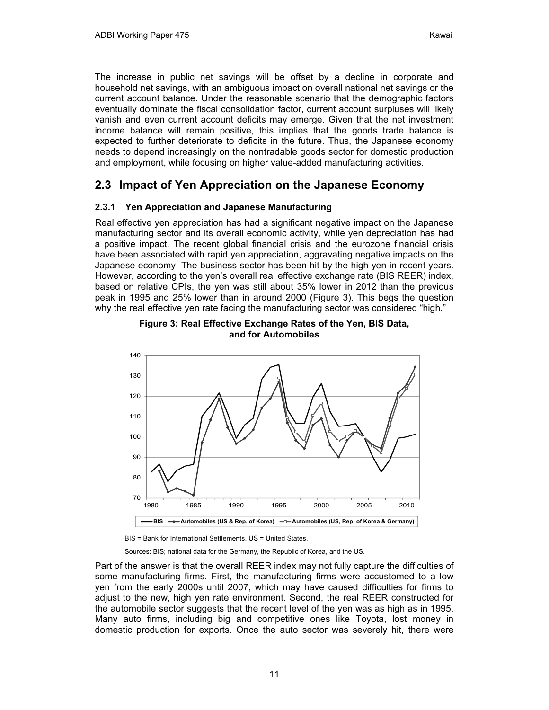The increase in public net savings will be offset by a decline in corporate and household net savings, with an ambiguous impact on overall national net savings or the current account balance. Under the reasonable scenario that the demographic factors eventually dominate the fiscal consolidation factor, current account surpluses will likely vanish and even current account deficits may emerge. Given that the net investment income balance will remain positive, this implies that the goods trade balance is expected to further deteriorate to deficits in the future. Thus, the Japanese economy needs to depend increasingly on the nontradable goods sector for domestic production and employment, while focusing on higher value-added manufacturing activities.

# **2.3 Impact of Yen Appreciation on the Japanese Economy**

## **2.3.1 Yen Appreciation and Japanese Manufacturing**

Real effective yen appreciation has had a significant negative impact on the Japanese manufacturing sector and its overall economic activity, while yen depreciation has had a positive impact. The recent global financial crisis and the eurozone financial crisis have been associated with rapid yen appreciation, aggravating negative impacts on the Japanese economy. The business sector has been hit by the high yen in recent years. However, according to the yen's overall real effective exchange rate (BIS REER) index, based on relative CPIs, the yen was still about 35% lower in 2012 than the previous peak in 1995 and 25% lower than in around 2000 (Figure 3). This begs the question why the real effective yen rate facing the manufacturing sector was considered "high."





Sources: BIS; national data for the Germany, the Republic of Korea, and the US.

Part of the answer is that the overall REER index may not fully capture the difficulties of some manufacturing firms. First, the manufacturing firms were accustomed to a low yen from the early 2000s until 2007, which may have caused difficulties for firms to adjust to the new, high yen rate environment. Second, the real REER constructed for the automobile sector suggests that the recent level of the yen was as high as in 1995. Many auto firms, including big and competitive ones like Toyota, lost money in domestic production for exports. Once the auto sector was severely hit, there were

BIS = Bank for International Settlements, US = United States.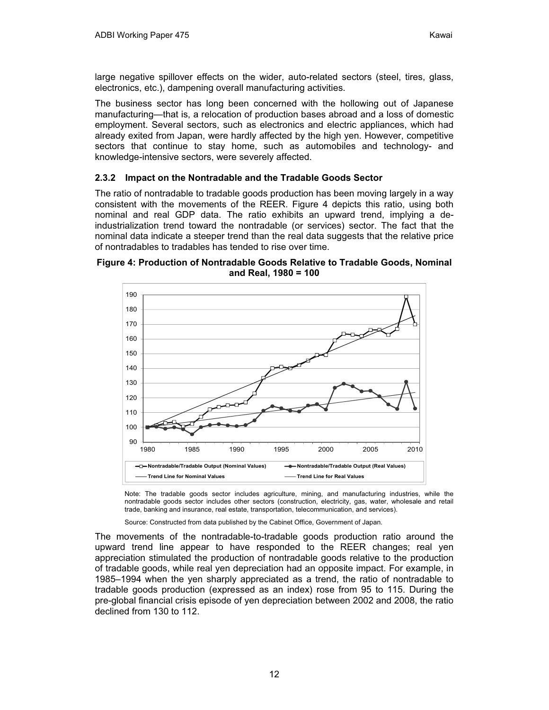large negative spillover effects on the wider, auto-related sectors (steel, tires, glass, electronics, etc.), dampening overall manufacturing activities.

The business sector has long been concerned with the hollowing out of Japanese manufacturing—that is, a relocation of production bases abroad and a loss of domestic employment. Several sectors, such as electronics and electric appliances, which had already exited from Japan, were hardly affected by the high yen. However, competitive sectors that continue to stay home, such as automobiles and technology- and knowledge-intensive sectors, were severely affected.

#### **2.3.2 Impact on the Nontradable and the Tradable Goods Sector**

The ratio of nontradable to tradable goods production has been moving largely in a way consistent with the movements of the REER. Figure 4 depicts this ratio, using both nominal and real GDP data. The ratio exhibits an upward trend, implying a deindustrialization trend toward the nontradable (or services) sector. The fact that the nominal data indicate a steeper trend than the real data suggests that the relative price of nontradables to tradables has tended to rise over time.

#### **Figure 4: Production of Nontradable Goods Relative to Tradable Goods, Nominal and Real, 1980 = 100**



Note: The tradable goods sector includes agriculture, mining, and manufacturing industries, while the nontradable goods sector includes other sectors (construction, electricity, gas, water, wholesale and retail trade, banking and insurance, real estate, transportation, telecommunication, and services).

Source: Constructed from data published by the Cabinet Office, Government of Japan.

The movements of the nontradable-to-tradable goods production ratio around the upward trend line appear to have responded to the REER changes; real yen appreciation stimulated the production of nontradable goods relative to the production of tradable goods, while real yen depreciation had an opposite impact. For example, in 1985–1994 when the yen sharply appreciated as a trend, the ratio of nontradable to tradable goods production (expressed as an index) rose from 95 to 115. During the pre-global financial crisis episode of yen depreciation between 2002 and 2008, the ratio declined from 130 to 112.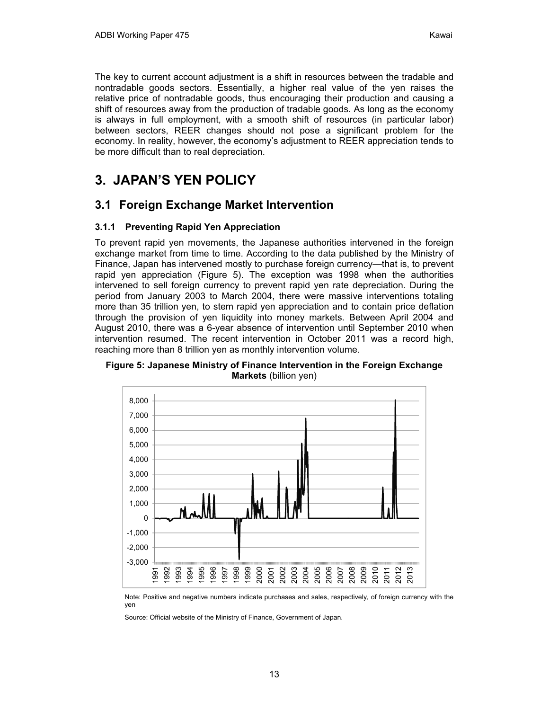The key to current account adjustment is a shift in resources between the tradable and nontradable goods sectors. Essentially, a higher real value of the yen raises the relative price of nontradable goods, thus encouraging their production and causing a shift of resources away from the production of tradable goods. As long as the economy is always in full employment, with a smooth shift of resources (in particular labor) between sectors, REER changes should not pose a significant problem for the economy. In reality, however, the economy's adjustment to REER appreciation tends to be more difficult than to real depreciation.

# **3. JAPAN'S YEN POLICY**

## **3.1 Foreign Exchange Market Intervention**

## **3.1.1 Preventing Rapid Yen Appreciation**

To prevent rapid yen movements, the Japanese authorities intervened in the foreign exchange market from time to time. According to the data published by the Ministry of Finance, Japan has intervened mostly to purchase foreign currency—that is, to prevent rapid yen appreciation (Figure 5). The exception was 1998 when the authorities intervened to sell foreign currency to prevent rapid yen rate depreciation. During the period from January 2003 to March 2004, there were massive interventions totaling more than 35 trillion yen, to stem rapid yen appreciation and to contain price deflation through the provision of yen liquidity into money markets. Between April 2004 and August 2010, there was a 6-year absence of intervention until September 2010 when intervention resumed. The recent intervention in October 2011 was a record high, reaching more than 8 trillion yen as monthly intervention volume.





Note: Positive and negative numbers indicate purchases and sales, respectively, of foreign currency with the yen

Source: Official website of the Ministry of Finance, Government of Japan.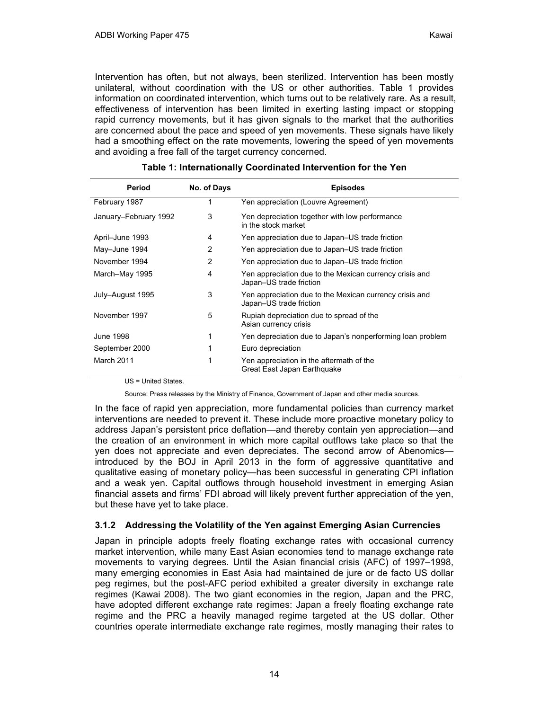Intervention has often, but not always, been sterilized. Intervention has been mostly unilateral, without coordination with the US or other authorities. Table 1 provides information on coordinated intervention, which turns out to be relatively rare. As a result, effectiveness of intervention has been limited in exerting lasting impact or stopping rapid currency movements, but it has given signals to the market that the authorities are concerned about the pace and speed of yen movements. These signals have likely had a smoothing effect on the rate movements, lowering the speed of yen movements and avoiding a free fall of the target currency concerned.

| <b>Period</b>         | No. of Days | <b>Episodes</b>                                                                    |
|-----------------------|-------------|------------------------------------------------------------------------------------|
| February 1987         |             | Yen appreciation (Louvre Agreement)                                                |
| January-February 1992 | 3           | Yen depreciation together with low performance<br>in the stock market              |
| April-June 1993       | 4           | Yen appreciation due to Japan–US trade friction                                    |
| May-June 1994         | 2           | Yen appreciation due to Japan–US trade friction                                    |
| November 1994         | 2           | Yen appreciation due to Japan–US trade friction                                    |
| March-May 1995        | 4           | Yen appreciation due to the Mexican currency crisis and<br>Japan-US trade friction |
| July–August 1995      | 3           | Yen appreciation due to the Mexican currency crisis and<br>Japan-US trade friction |
| November 1997         | 5           | Rupiah depreciation due to spread of the<br>Asian currency crisis                  |
| June 1998             | 1           | Yen depreciation due to Japan's nonperforming loan problem                         |
| September 2000        |             | Euro depreciation                                                                  |
| March 2011            | 1           | Yen appreciation in the aftermath of the<br>Great East Japan Earthquake            |

US = United States.

Source: Press releases by the Ministry of Finance, Government of Japan and other media sources.

In the face of rapid yen appreciation, more fundamental policies than currency market interventions are needed to prevent it. These include more proactive monetary policy to address Japan's persistent price deflation—and thereby contain yen appreciation—and the creation of an environment in which more capital outflows take place so that the yen does not appreciate and even depreciates. The second arrow of Abenomics introduced by the BOJ in April 2013 in the form of aggressive quantitative and qualitative easing of monetary policy—has been successful in generating CPI inflation and a weak yen. Capital outflows through household investment in emerging Asian financial assets and firms' FDI abroad will likely prevent further appreciation of the yen, but these have yet to take place.

#### **3.1.2 Addressing the Volatility of the Yen against Emerging Asian Currencies**

Japan in principle adopts freely floating exchange rates with occasional currency market intervention, while many East Asian economies tend to manage exchange rate movements to varying degrees. Until the Asian financial crisis (AFC) of 1997–1998, many emerging economies in East Asia had maintained de jure or de facto US dollar peg regimes, but the post-AFC period exhibited a greater diversity in exchange rate regimes (Kawai 2008). The two giant economies in the region, Japan and the PRC, have adopted different exchange rate regimes: Japan a freely floating exchange rate regime and the PRC a heavily managed regime targeted at the US dollar. Other countries operate intermediate exchange rate regimes, mostly managing their rates to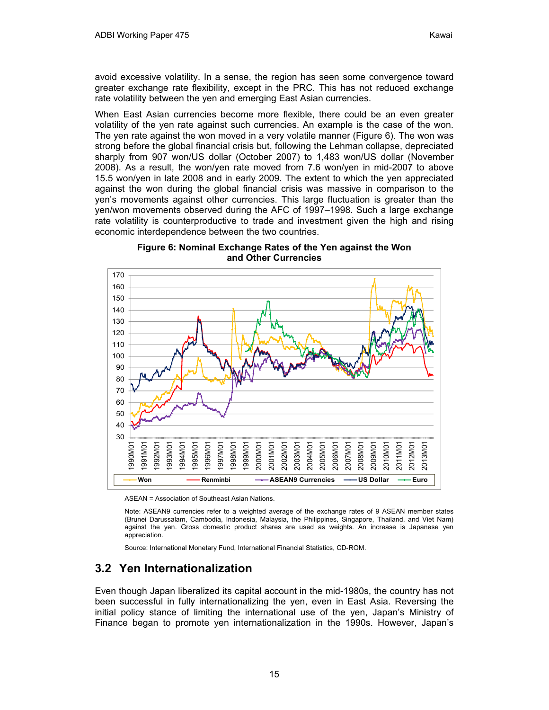avoid excessive volatility. In a sense, the region has seen some convergence toward greater exchange rate flexibility, except in the PRC. This has not reduced exchange rate volatility between the yen and emerging East Asian currencies.

When East Asian currencies become more flexible, there could be an even greater volatility of the yen rate against such currencies. An example is the case of the won. The yen rate against the won moved in a very volatile manner (Figure 6). The won was strong before the global financial crisis but, following the Lehman collapse, depreciated sharply from 907 won/US dollar (October 2007) to 1,483 won/US dollar (November 2008). As a result, the won/yen rate moved from 7.6 won/yen in mid-2007 to above 15.5 won/yen in late 2008 and in early 2009. The extent to which the yen appreciated against the won during the global financial crisis was massive in comparison to the yen's movements against other currencies. This large fluctuation is greater than the yen/won movements observed during the AFC of 1997–1998. Such a large exchange rate volatility is counterproductive to trade and investment given the high and rising economic interdependence between the two countries.



**Figure 6: Nominal Exchange Rates of the Yen against the Won and Other Currencies** 

ASEAN = Association of Southeast Asian Nations.

Note: ASEAN9 currencies refer to a weighted average of the exchange rates of 9 ASEAN member states (Brunei Darussalam, Cambodia, Indonesia, Malaysia, the Philippines, Singapore, Thailand, and Viet Nam) against the yen. Gross domestic product shares are used as weights. An increase is Japanese yen appreciation.

Source: International Monetary Fund, International Financial Statistics, CD-ROM.

## **3.2 Yen Internationalization**

Even though Japan liberalized its capital account in the mid-1980s, the country has not been successful in fully internationalizing the yen, even in East Asia. Reversing the initial policy stance of limiting the international use of the yen, Japan's Ministry of Finance began to promote yen internationalization in the 1990s. However, Japan's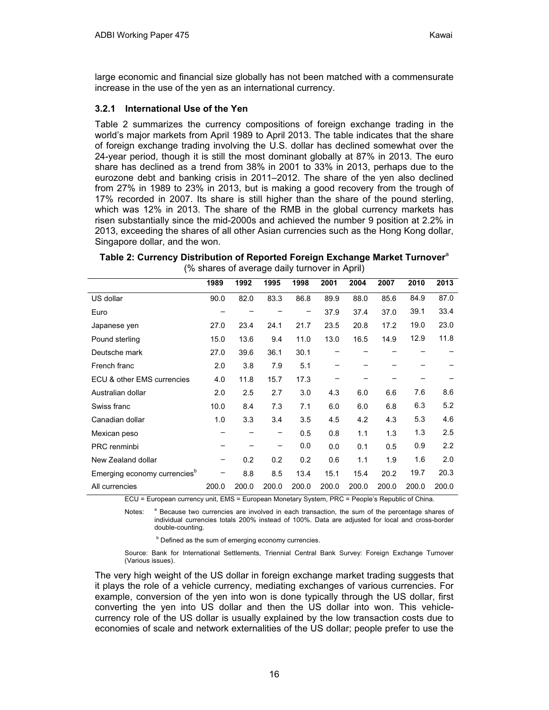large economic and financial size globally has not been matched with a commensurate increase in the use of the yen as an international currency.

#### **3.2.1 International Use of the Yen**

Table 2 summarizes the currency compositions of foreign exchange trading in the world's major markets from April 1989 to April 2013. The table indicates that the share of foreign exchange trading involving the U.S. dollar has declined somewhat over the 24-year period, though it is still the most dominant globally at 87% in 2013. The euro share has declined as a trend from 38% in 2001 to 33% in 2013, perhaps due to the eurozone debt and banking crisis in 2011–2012. The share of the yen also declined from 27% in 1989 to 23% in 2013, but is making a good recovery from the trough of 17% recorded in 2007. Its share is still higher than the share of the pound sterling, which was 12% in 2013. The share of the RMB in the global currency markets has risen substantially since the mid-2000s and achieved the number 9 position at 2.2% in 2013, exceeding the shares of all other Asian currencies such as the Hong Kong dollar, Singapore dollar, and the won.

**Table 2: Currency Distribution of Reported Foreign Exchange Market Turnover**<sup>a</sup> (% shares of average daily turnover in April)

|                                          | 1989  | 1992  | 1995  | 1998  | 2001  | 2004  | 2007  | 2010  | 2013  |
|------------------------------------------|-------|-------|-------|-------|-------|-------|-------|-------|-------|
|                                          |       |       |       |       |       |       |       |       |       |
| US dollar                                | 90.0  | 82.0  | 83.3  | 86.8  | 89.9  | 88.0  | 85.6  | 84.9  | 87.0  |
| Euro                                     |       |       |       | -     | 37.9  | 37.4  | 37.0  | 39.1  | 33.4  |
| Japanese yen                             | 27.0  | 23.4  | 24.1  | 21.7  | 23.5  | 20.8  | 17.2  | 19.0  | 23.0  |
| Pound sterling                           | 15.0  | 13.6  | 9.4   | 11.0  | 13.0  | 16.5  | 14.9  | 12.9  | 11.8  |
| Deutsche mark                            | 27.0  | 39.6  | 36.1  | 30.1  |       |       |       |       |       |
| French franc                             | 2.0   | 3.8   | 7.9   | 5.1   |       |       |       |       |       |
| ECU & other EMS currencies               | 4.0   | 11.8  | 15.7  | 17.3  |       |       |       |       |       |
| Australian dollar                        | 2.0   | 2.5   | 2.7   | 3.0   | 4.3   | 6.0   | 6.6   | 7.6   | 8.6   |
| Swiss franc                              | 10.0  | 8.4   | 7.3   | 7.1   | 6.0   | 6.0   | 6.8   | 6.3   | 5.2   |
| Canadian dollar                          | 1.0   | 3.3   | 3.4   | 3.5   | 4.5   | 4.2   | 4.3   | 5.3   | 4.6   |
| Mexican peso                             |       |       |       | 0.5   | 0.8   | 1.1   | 1.3   | 1.3   | 2.5   |
| PRC renminbi                             |       |       |       | 0.0   | 0.0   | 0.1   | 0.5   | 0.9   | 2.2   |
| New Zealand dollar                       |       | 0.2   | 0.2   | 0.2   | 0.6   | 1.1   | 1.9   | 1.6   | 2.0   |
| Emerging economy currencies <sup>b</sup> |       | 8.8   | 8.5   | 13.4  | 15.1  | 15.4  | 20.2  | 19.7  | 20.3  |
| All currencies                           | 200.0 | 200.0 | 200.0 | 200.0 | 200.0 | 200.0 | 200.0 | 200.0 | 200.0 |

ECU = European currency unit, EMS = European Monetary System, PRC = People's Republic of China.

Notes: <sup>a</sup> Because two currencies are involved in each transaction, the sum of the percentage shares of individual currencies totals 200% instead of 100%. Data are adjusted for local and cross-border double-counting.

**b** Defined as the sum of emerging economy currencies.

Source: Bank for International Settlements, Triennial Central Bank Survey: Foreign Exchange Turnover (Various issues).

The very high weight of the US dollar in foreign exchange market trading suggests that it plays the role of a vehicle currency, mediating exchanges of various currencies. For example, conversion of the yen into won is done typically through the US dollar, first converting the yen into US dollar and then the US dollar into won. This vehiclecurrency role of the US dollar is usually explained by the low transaction costs due to economies of scale and network externalities of the US dollar; people prefer to use the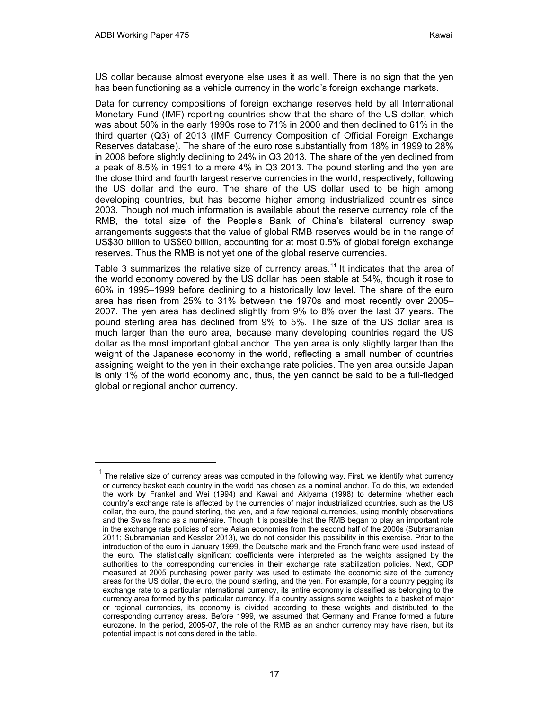US dollar because almost everyone else uses it as well. There is no sign that the yen has been functioning as a vehicle currency in the world's foreign exchange markets.

Data for currency compositions of foreign exchange reserves held by all International Monetary Fund (IMF) reporting countries show that the share of the US dollar, which was about 50% in the early 1990s rose to 71% in 2000 and then declined to 61% in the third quarter (Q3) of 2013 (IMF Currency Composition of Official Foreign Exchange Reserves database). The share of the euro rose substantially from 18% in 1999 to 28% in 2008 before slightly declining to 24% in Q3 2013. The share of the yen declined from a peak of 8.5% in 1991 to a mere 4% in Q3 2013. The pound sterling and the yen are the close third and fourth largest reserve currencies in the world, respectively, following the US dollar and the euro. The share of the US dollar used to be high among developing countries, but has become higher among industrialized countries since 2003. Though not much information is available about the reserve currency role of the RMB, the total size of the People's Bank of China's bilateral currency swap arrangements suggests that the value of global RMB reserves would be in the range of US\$30 billion to US\$60 billion, accounting for at most 0.5% of global foreign exchange reserves. Thus the RMB is not yet one of the global reserve currencies.

Table 3 summarizes the relative size of currency areas.<sup>11</sup> It indicates that the area of the world economy covered by the US dollar has been stable at 54%, though it rose to 60% in 1995–1999 before declining to a historically low level. The share of the euro area has risen from 25% to 31% between the 1970s and most recently over 2005– 2007. The yen area has declined slightly from 9% to 8% over the last 37 years. The pound sterling area has declined from 9% to 5%. The size of the US dollar area is much larger than the euro area, because many developing countries regard the US dollar as the most important global anchor. The yen area is only slightly larger than the weight of the Japanese economy in the world, reflecting a small number of countries assigning weight to the yen in their exchange rate policies. The yen area outside Japan is only 1% of the world economy and, thus, the yen cannot be said to be a full-fledged global or regional anchor currency.

 $11$  The relative size of currency areas was computed in the following way. First, we identify what currency or currency basket each country in the world has chosen as a nominal anchor. To do this, we extended the work by Frankel and Wei (1994) and Kawai and Akiyama (1998) to determine whether each country's exchange rate is affected by the currencies of major industrialized countries, such as the US dollar, the euro, the pound sterling, the yen, and a few regional currencies, using monthly observations and the Swiss franc as a numéraire. Though it is possible that the RMB began to play an important role in the exchange rate policies of some Asian economies from the second half of the 2000s (Subramanian 2011; Subramanian and Kessler 2013), we do not consider this possibility in this exercise. Prior to the introduction of the euro in January 1999, the Deutsche mark and the French franc were used instead of the euro. The statistically significant coefficients were interpreted as the weights assigned by the authorities to the corresponding currencies in their exchange rate stabilization policies. Next, GDP measured at 2005 purchasing power parity was used to estimate the economic size of the currency areas for the US dollar, the euro, the pound sterling, and the yen. For example, for a country pegging its exchange rate to a particular international currency, its entire economy is classified as belonging to the currency area formed by this particular currency. If a country assigns some weights to a basket of major or regional currencies, its economy is divided according to these weights and distributed to the corresponding currency areas. Before 1999, we assumed that Germany and France formed a future eurozone. In the period, 2005-07, the role of the RMB as an anchor currency may have risen, but its potential impact is not considered in the table.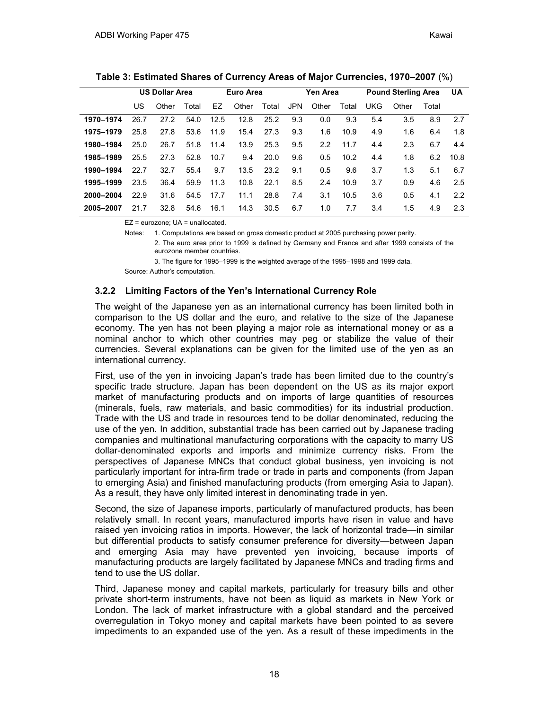|           | <b>US Dollar Area</b> |       |       | Euro Area |       |       | Yen Area   |       |       | <b>Pound Sterling Area</b> | <b>UA</b> |       |      |
|-----------|-----------------------|-------|-------|-----------|-------|-------|------------|-------|-------|----------------------------|-----------|-------|------|
|           | US                    | Other | Total | EZ        | Other | Total | <b>JPN</b> | Other | Total | <b>UKG</b>                 | Other     | Total |      |
| 1970-1974 | 26.7                  | 27.2  | 54.0  | 12.5      | 12.8  | 25.2  | 9.3        | 0.0   | 9.3   | 5.4                        | 3.5       | 8.9   | 2.7  |
| 1975-1979 | 25.8                  | 27.8  | 53.6  | 11.9      | 15.4  | 27.3  | 9.3        | 1.6   | 10.9  | 4.9                        | 1.6       | 6.4   | 1.8  |
| 1980-1984 | 25.0                  | 26.7  | 51.8  | 11.4      | 13.9  | 25.3  | 9.5        | 2.2   | 11.7  | 4.4                        | 2.3       | 6.7   | 4.4  |
| 1985-1989 | 25.5                  | 27.3  | 52.8  | 10.7      | 9.4   | 20.0  | 9.6        | 0.5   | 10.2  | 4.4                        | 1.8       | 6.2   | 10.8 |
| 1990-1994 | 22.7                  | 32.7  | 55.4  | 9.7       | 13.5  | 23.2  | 9.1        | 0.5   | 9.6   | 3.7                        | 1.3       | 5.1   | 6.7  |
| 1995-1999 | 23.5                  | 36.4  | 59.9  | 11.3      | 10.8  | 22.1  | 8.5        | 2.4   | 10.9  | 3.7                        | 0.9       | 4.6   | 2.5  |
| 2000-2004 | 22.9                  | 31.6  | 54.5  | 17.7      | 11.1  | 28.8  | 7.4        | 3.1   | 10.5  | 3.6                        | 0.5       | 4.1   | 2.2  |
| 2005-2007 | 21.7                  | 32.8  | 54.6  | 16.1      | 14.3  | 30.5  | 6.7        | 1.0   | 7.7   | 3.4                        | 1.5       | 4.9   | 2.3  |

**Table 3: Estimated Shares of Currency Areas of Major Currencies, 1970–2007** (%)

EZ = eurozone; UA = unallocated.

Notes: 1. Computations are based on gross domestic product at 2005 purchasing power parity.

2. The euro area prior to 1999 is defined by Germany and France and after 1999 consists of the eurozone member countries.

3. The figure for 1995–1999 is the weighted average of the 1995–1998 and 1999 data.

Source: Author's computation.

#### **3.2.2 Limiting Factors of the Yen's International Currency Role**

The weight of the Japanese yen as an international currency has been limited both in comparison to the US dollar and the euro, and relative to the size of the Japanese economy. The yen has not been playing a major role as international money or as a nominal anchor to which other countries may peg or stabilize the value of their currencies. Several explanations can be given for the limited use of the yen as an international currency.

First, use of the yen in invoicing Japan's trade has been limited due to the country's specific trade structure. Japan has been dependent on the US as its major export market of manufacturing products and on imports of large quantities of resources (minerals, fuels, raw materials, and basic commodities) for its industrial production. Trade with the US and trade in resources tend to be dollar denominated, reducing the use of the yen. In addition, substantial trade has been carried out by Japanese trading companies and multinational manufacturing corporations with the capacity to marry US dollar-denominated exports and imports and minimize currency risks. From the perspectives of Japanese MNCs that conduct global business, yen invoicing is not particularly important for intra-firm trade or trade in parts and components (from Japan to emerging Asia) and finished manufacturing products (from emerging Asia to Japan). As a result, they have only limited interest in denominating trade in yen.

Second, the size of Japanese imports, particularly of manufactured products, has been relatively small. In recent years, manufactured imports have risen in value and have raised yen invoicing ratios in imports. However, the lack of horizontal trade—in similar but differential products to satisfy consumer preference for diversity—between Japan and emerging Asia may have prevented yen invoicing, because imports of manufacturing products are largely facilitated by Japanese MNCs and trading firms and tend to use the US dollar.

Third, Japanese money and capital markets, particularly for treasury bills and other private short-term instruments, have not been as liquid as markets in New York or London. The lack of market infrastructure with a global standard and the perceived overregulation in Tokyo money and capital markets have been pointed to as severe impediments to an expanded use of the yen. As a result of these impediments in the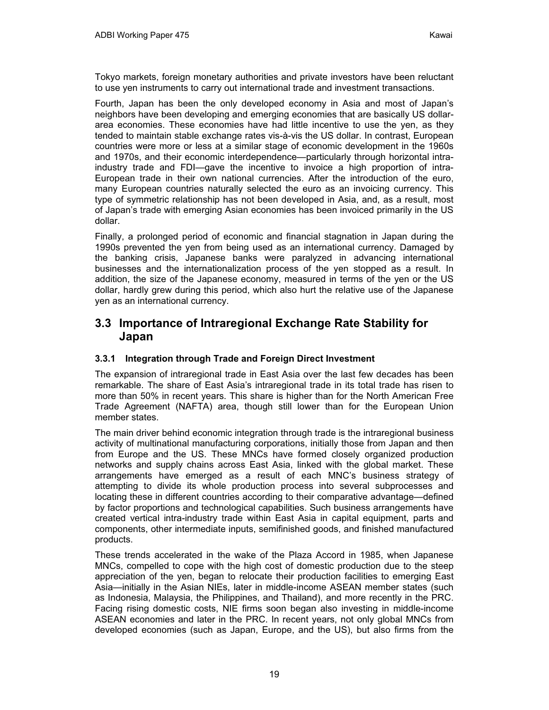Tokyo markets, foreign monetary authorities and private investors have been reluctant to use yen instruments to carry out international trade and investment transactions.

Fourth, Japan has been the only developed economy in Asia and most of Japan's neighbors have been developing and emerging economies that are basically US dollararea economies. These economies have had little incentive to use the yen, as they tended to maintain stable exchange rates vis-à-vis the US dollar. In contrast, European countries were more or less at a similar stage of economic development in the 1960s and 1970s, and their economic interdependence—particularly through horizontal intraindustry trade and FDI—gave the incentive to invoice a high proportion of intra-European trade in their own national currencies. After the introduction of the euro, many European countries naturally selected the euro as an invoicing currency. This type of symmetric relationship has not been developed in Asia, and, as a result, most of Japan's trade with emerging Asian economies has been invoiced primarily in the US dollar.

Finally, a prolonged period of economic and financial stagnation in Japan during the 1990s prevented the yen from being used as an international currency. Damaged by the banking crisis, Japanese banks were paralyzed in advancing international businesses and the internationalization process of the yen stopped as a result. In addition, the size of the Japanese economy, measured in terms of the yen or the US dollar, hardly grew during this period, which also hurt the relative use of the Japanese yen as an international currency.

## **3.3 Importance of Intraregional Exchange Rate Stability for Japan**

### **3.3.1 Integration through Trade and Foreign Direct Investment**

The expansion of intraregional trade in East Asia over the last few decades has been remarkable. The share of East Asia's intraregional trade in its total trade has risen to more than 50% in recent years. This share is higher than for the North American Free Trade Agreement (NAFTA) area, though still lower than for the European Union member states.

The main driver behind economic integration through trade is the intraregional business activity of multinational manufacturing corporations, initially those from Japan and then from Europe and the US. These MNCs have formed closely organized production networks and supply chains across East Asia, linked with the global market. These arrangements have emerged as a result of each MNC's business strategy of attempting to divide its whole production process into several subprocesses and locating these in different countries according to their comparative advantage—defined by factor proportions and technological capabilities. Such business arrangements have created vertical intra-industry trade within East Asia in capital equipment, parts and components, other intermediate inputs, semifinished goods, and finished manufactured products.

These trends accelerated in the wake of the Plaza Accord in 1985, when Japanese MNCs, compelled to cope with the high cost of domestic production due to the steep appreciation of the yen, began to relocate their production facilities to emerging East Asia—initially in the Asian NIEs, later in middle-income ASEAN member states (such as Indonesia, Malaysia, the Philippines, and Thailand), and more recently in the PRC. Facing rising domestic costs, NIE firms soon began also investing in middle-income ASEAN economies and later in the PRC. In recent years, not only global MNCs from developed economies (such as Japan, Europe, and the US), but also firms from the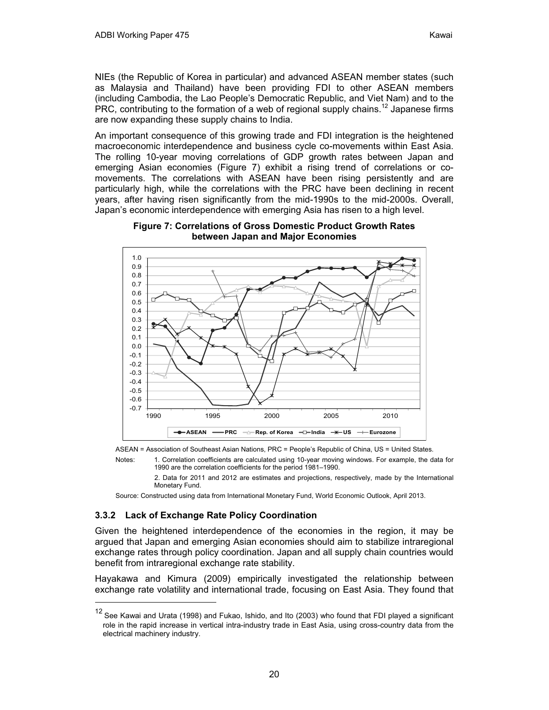NIEs (the Republic of Korea in particular) and advanced ASEAN member states (such as Malaysia and Thailand) have been providing FDI to other ASEAN members (including Cambodia, the Lao People's Democratic Republic, and Viet Nam) and to the PRC, contributing to the formation of a web of regional supply chains.<sup>12</sup> Japanese firms are now expanding these supply chains to India.

An important consequence of this growing trade and FDI integration is the heightened macroeconomic interdependence and business cycle co-movements within East Asia. The rolling 10-year moving correlations of GDP growth rates between Japan and emerging Asian economies (Figure 7) exhibit a rising trend of correlations or comovements. The correlations with ASEAN have been rising persistently and are particularly high, while the correlations with the PRC have been declining in recent years, after having risen significantly from the mid-1990s to the mid-2000s. Overall, Japan's economic interdependence with emerging Asia has risen to a high level.



**Figure 7: Correlations of Gross Domestic Product Growth Rates between Japan and Major Economies** 

ASEAN = Association of Southeast Asian Nations, PRC = People's Republic of China, US = United States.

Notes: 1. Correlation coefficients are calculated using 10-year moving windows. For example, the data for 1990 are the correlation coefficients for the period 1981–1990.

2. Data for 2011 and 2012 are estimates and projections, respectively, made by the International Monetary Fund.

Source: Constructed using data from International Monetary Fund, World Economic Outlook, April 2013.

## **3.3.2 Lack of Exchange Rate Policy Coordination**

 $\overline{a}$ 

Given the heightened interdependence of the economies in the region, it may be argued that Japan and emerging Asian economies should aim to stabilize intraregional exchange rates through policy coordination. Japan and all supply chain countries would benefit from intraregional exchange rate stability.

Hayakawa and Kimura (2009) empirically investigated the relationship between exchange rate volatility and international trade, focusing on East Asia. They found that

<sup>&</sup>lt;sup>12</sup> See Kawai and Urata (1998) and Fukao, Ishido, and Ito (2003) who found that FDI played a significant role in the rapid increase in vertical intra-industry trade in East Asia, using cross-country data from the electrical machinery industry.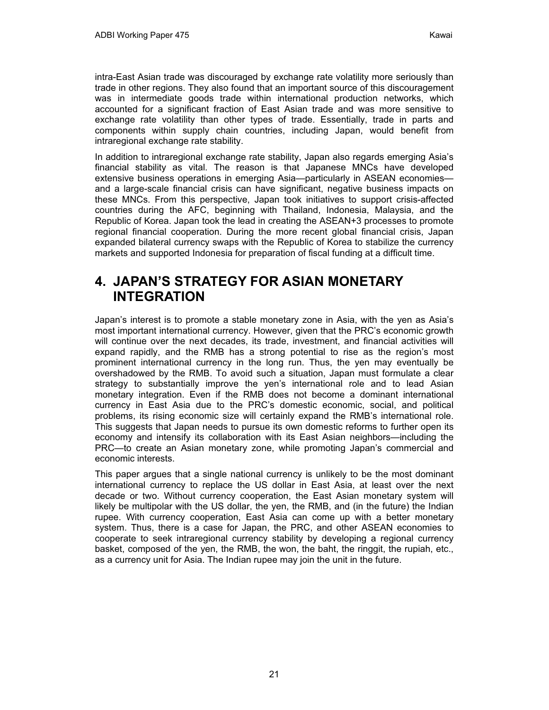intra-East Asian trade was discouraged by exchange rate volatility more seriously than trade in other regions. They also found that an important source of this discouragement was in intermediate goods trade within international production networks, which accounted for a significant fraction of East Asian trade and was more sensitive to exchange rate volatility than other types of trade. Essentially, trade in parts and components within supply chain countries, including Japan, would benefit from intraregional exchange rate stability.

In addition to intraregional exchange rate stability, Japan also regards emerging Asia's financial stability as vital. The reason is that Japanese MNCs have developed extensive business operations in emerging Asia—particularly in ASEAN economies and a large-scale financial crisis can have significant, negative business impacts on these MNCs. From this perspective, Japan took initiatives to support crisis-affected countries during the AFC, beginning with Thailand, Indonesia, Malaysia, and the Republic of Korea. Japan took the lead in creating the ASEAN+3 processes to promote regional financial cooperation. During the more recent global financial crisis, Japan expanded bilateral currency swaps with the Republic of Korea to stabilize the currency markets and supported Indonesia for preparation of fiscal funding at a difficult time.

# **4. JAPAN'S STRATEGY FOR ASIAN MONETARY INTEGRATION**

Japan's interest is to promote a stable monetary zone in Asia, with the yen as Asia's most important international currency. However, given that the PRC's economic growth will continue over the next decades, its trade, investment, and financial activities will expand rapidly, and the RMB has a strong potential to rise as the region's most prominent international currency in the long run. Thus, the yen may eventually be overshadowed by the RMB. To avoid such a situation, Japan must formulate a clear strategy to substantially improve the yen's international role and to lead Asian monetary integration. Even if the RMB does not become a dominant international currency in East Asia due to the PRC's domestic economic, social, and political problems, its rising economic size will certainly expand the RMB's international role. This suggests that Japan needs to pursue its own domestic reforms to further open its economy and intensify its collaboration with its East Asian neighbors—including the PRC—to create an Asian monetary zone, while promoting Japan's commercial and economic interests.

This paper argues that a single national currency is unlikely to be the most dominant international currency to replace the US dollar in East Asia, at least over the next decade or two. Without currency cooperation, the East Asian monetary system will likely be multipolar with the US dollar, the yen, the RMB, and (in the future) the Indian rupee. With currency cooperation, East Asia can come up with a better monetary system. Thus, there is a case for Japan, the PRC, and other ASEAN economies to cooperate to seek intraregional currency stability by developing a regional currency basket, composed of the yen, the RMB, the won, the baht, the ringgit, the rupiah, etc., as a currency unit for Asia. The Indian rupee may join the unit in the future.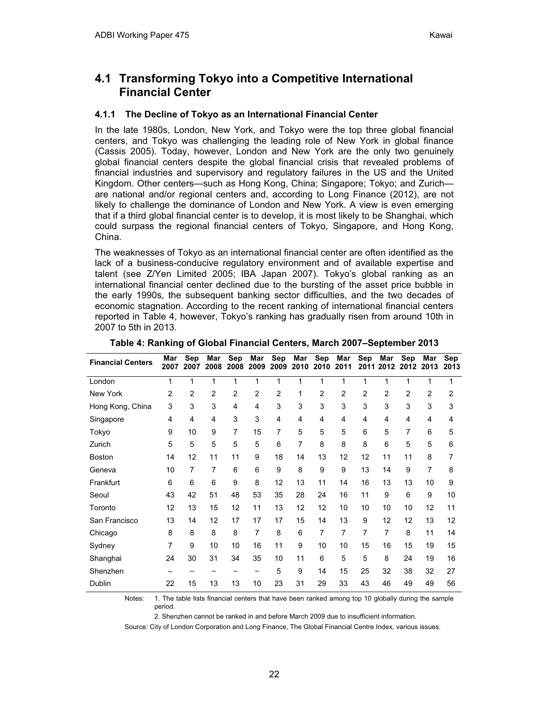## **4.1 Transforming Tokyo into a Competitive International Financial Center**

#### **4.1.1 The Decline of Tokyo as an International Financial Center**

In the late 1980s, London, New York, and Tokyo were the top three global financial centers, and Tokyo was challenging the leading role of New York in global finance (Cassis 2005). Today, however, London and New York are the only two genuinely global financial centers despite the global financial crisis that revealed problems of financial industries and supervisory and regulatory failures in the US and the United Kingdom. Other centers—such as Hong Kong, China; Singapore; Tokyo; and Zurich are national and/or regional centers and, according to Long Finance (2012), are not likely to challenge the dominance of London and New York. A view is even emerging that if a third global financial center is to develop, it is most likely to be Shanghai, which could surpass the regional financial centers of Tokyo, Singapore, and Hong Kong, China.

The weaknesses of Tokyo as an international financial center are often identified as the lack of a business-conducive regulatory environment and of available expertise and talent (see Z/Yen Limited 2005; IBA Japan 2007). Tokyo's global ranking as an international financial center declined due to the bursting of the asset price bubble in the early 1990s, the subsequent banking sector difficulties, and the two decades of economic stagnation. According to the recent ranking of international financial centers reported in Table 4, however, Tokyo's ranking has gradually risen from around 10th in 2007 to 5th in 2013.

| <b>Financial Centers</b> | Mar<br>2007    | Sep<br>2007    | Mar<br>2008    | Sep<br>2008    | Mar<br>2009 | Sep<br>2009 | Mar<br>2010 | Sep<br>2010 | Mar<br>2011    | Sep<br>2011    | Mar<br>2012 | Sep<br>2012 | Mar<br>2013    | Sep<br>2013 |
|--------------------------|----------------|----------------|----------------|----------------|-------------|-------------|-------------|-------------|----------------|----------------|-------------|-------------|----------------|-------------|
| London                   | 1              | 1              | 1              | 1              | 1           | 1           | 1           | 1           | 1              | 1              | 1           | 1           | 1              | 1           |
| New York                 | $\overline{2}$ | $\overline{2}$ | $\overline{2}$ | $\overline{2}$ | 2           | 2           | 1           | 2           | $\overline{2}$ | $\overline{2}$ | 2           | 2           | $\overline{2}$ | 2           |
| Hong Kong, China         | 3              | 3              | 3              | 4              | 4           | 3           | 3           | 3           | 3              | 3              | 3           | 3           | 3              | 3           |
| Singapore                | 4              | 4              | 4              | 3              | 3           | 4           | 4           | 4           | 4              | 4              | 4           | 4           | 4              | 4           |
| Tokyo                    | 9              | 10             | 9              | 7              | 15          | 7           | 5           | 5           | 5              | 6              | 5           | 7           | 6              | 5           |
| Zurich                   | 5              | 5              | 5              | 5              | 5           | 6           | 7           | 8           | 8              | 8              | 6           | 5           | 5              | 6           |
| <b>Boston</b>            | 14             | 12             | 11             | 11             | 9           | 18          | 14          | 13          | 12             | 12             | 11          | 11          | 8              | 7           |
| Geneva                   | 10             | 7              | 7              | 6              | 6           | 9           | 8           | 9           | 9              | 13             | 14          | 9           | 7              | 8           |
| Frankfurt                | 6              | 6              | 6              | 9              | 8           | 12          | 13          | 11          | 14             | 16             | 13          | 13          | 10             | 9           |
| Seoul                    | 43             | 42             | 51             | 48             | 53          | 35          | 28          | 24          | 16             | 11             | 9           | 6           | 9              | 10          |
| Toronto                  | 12             | 13             | 15             | 12             | 11          | 13          | 12          | 12          | 10             | 10             | 10          | 10          | 12             | 11          |
| San Francisco            | 13             | 14             | 12             | 17             | 17          | 17          | 15          | 14          | 13             | 9              | 12          | 12          | 13             | 12          |
| Chicago                  | 8              | 8              | 8              | 8              | 7           | 8           | 6           | 7           | 7              | 7              | 7           | 8           | 11             | 14          |
| Sydney                   | 7              | 9              | 10             | 10             | 16          | 11          | 9           | 10          | 10             | 15             | 16          | 15          | 19             | 15          |
| Shanghai                 | 24             | 30             | 31             | 34             | 35          | 10          | 11          | 6           | 5              | 5              | 8           | 24          | 19             | 16          |
| Shenzhen                 |                |                |                | -              | -           | 5           | 9           | 14          | 15             | 25             | 32          | 38          | 32             | 27          |
| Dublin                   | 22             | 15             | 13             | 13             | 10          | 23          | 31          | 29          | 33             | 43             | 46          | 49          | 49             | 56          |

**Table 4: Ranking of Global Financial Centers, March 2007–September 2013** 

**Sep** 

Notes: 1. The table lists financial centers that have been ranked among top 10 globally during the sample period.

2. Shenzhen cannot be ranked in and before March 2009 due to insufficient information.

Source: City of London Corporation and Long Finance, The Global Financial Centre Index, various issues.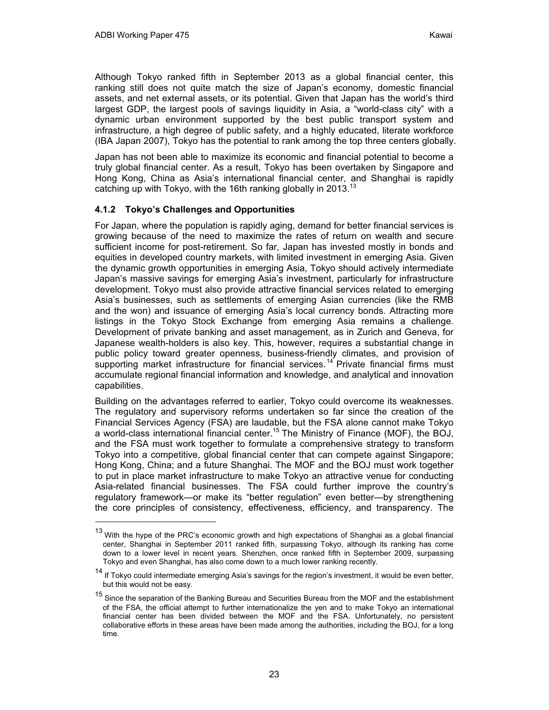$\overline{a}$ 

Although Tokyo ranked fifth in September 2013 as a global financial center, this ranking still does not quite match the size of Japan's economy, domestic financial assets, and net external assets, or its potential. Given that Japan has the world's third largest GDP, the largest pools of savings liquidity in Asia, a "world-class city" with a dynamic urban environment supported by the best public transport system and infrastructure, a high degree of public safety, and a highly educated, literate workforce (IBA Japan 2007), Tokyo has the potential to rank among the top three centers globally.

Japan has not been able to maximize its economic and financial potential to become a truly global financial center. As a result, Tokyo has been overtaken by Singapore and Hong Kong, China as Asia's international financial center, and Shanghai is rapidly catching up with Tokyo, with the 16th ranking globally in 2013.<sup>13</sup>

### **4.1.2 Tokyo's Challenges and Opportunities**

For Japan, where the population is rapidly aging, demand for better financial services is growing because of the need to maximize the rates of return on wealth and secure sufficient income for post-retirement. So far, Japan has invested mostly in bonds and equities in developed country markets, with limited investment in emerging Asia. Given the dynamic growth opportunities in emerging Asia, Tokyo should actively intermediate Japan's massive savings for emerging Asia's investment, particularly for infrastructure development. Tokyo must also provide attractive financial services related to emerging Asia's businesses, such as settlements of emerging Asian currencies (like the RMB and the won) and issuance of emerging Asia's local currency bonds. Attracting more listings in the Tokyo Stock Exchange from emerging Asia remains a challenge. Development of private banking and asset management, as in Zurich and Geneva, for Japanese wealth-holders is also key. This, however, requires a substantial change in public policy toward greater openness, business-friendly climates, and provision of supporting market infrastructure for financial services.<sup>14</sup> Private financial firms must accumulate regional financial information and knowledge, and analytical and innovation capabilities.

Building on the advantages referred to earlier, Tokyo could overcome its weaknesses. The regulatory and supervisory reforms undertaken so far since the creation of the Financial Services Agency (FSA) are laudable, but the FSA alone cannot make Tokyo a world-class international financial center.<sup>15</sup> The Ministry of Finance (MOF), the BOJ, and the FSA must work together to formulate a comprehensive strategy to transform Tokyo into a competitive, global financial center that can compete against Singapore; Hong Kong, China; and a future Shanghai. The MOF and the BOJ must work together to put in place market infrastructure to make Tokyo an attractive venue for conducting Asia-related financial businesses. The FSA could further improve the country's regulatory framework—or make its "better regulation" even better—by strengthening the core principles of consistency, effectiveness, efficiency, and transparency. The

<sup>&</sup>lt;sup>13</sup> With the hype of the PRC's economic growth and high expectations of Shanghai as a global financial center, Shanghai in September 2011 ranked fifth, surpassing Tokyo, although its ranking has come down to a lower level in recent years. Shenzhen, once ranked fifth in September 2009, surpassing Tokyo and even Shanghai, has also come down to a much lower ranking recently.

<sup>14</sup> If Tokyo could intermediate emerging Asia's savings for the region's investment, it would be even better, but this would not be easy.

<sup>&</sup>lt;sup>15</sup> Since the separation of the Banking Bureau and Securities Bureau from the MOF and the establishment of the FSA, the official attempt to further internationalize the yen and to make Tokyo an international financial center has been divided between the MOF and the FSA. Unfortunately, no persistent collaborative efforts in these areas have been made among the authorities, including the BOJ, for a long time.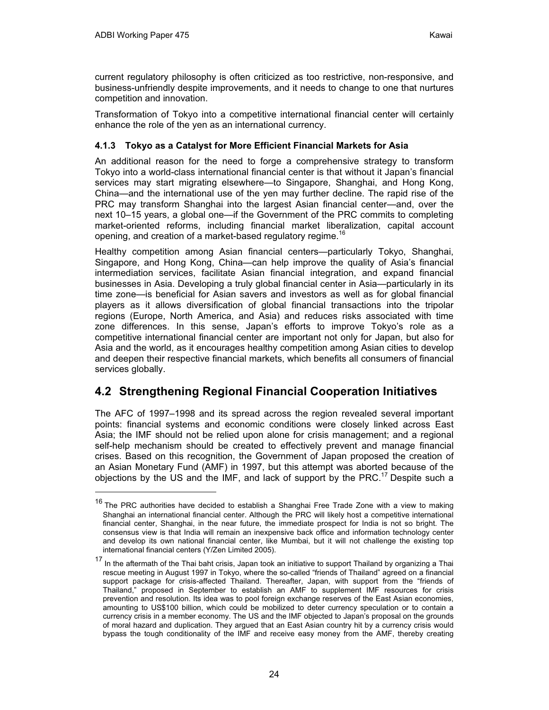-

current regulatory philosophy is often criticized as too restrictive, non-responsive, and business-unfriendly despite improvements, and it needs to change to one that nurtures competition and innovation.

Transformation of Tokyo into a competitive international financial center will certainly enhance the role of the yen as an international currency.

### **4.1.3 Tokyo as a Catalyst for More Efficient Financial Markets for Asia**

An additional reason for the need to forge a comprehensive strategy to transform Tokyo into a world-class international financial center is that without it Japan's financial services may start migrating elsewhere—to Singapore, Shanghai, and Hong Kong, China—and the international use of the yen may further decline. The rapid rise of the PRC may transform Shanghai into the largest Asian financial center—and, over the next 10–15 years, a global one—if the Government of the PRC commits to completing market-oriented reforms, including financial market liberalization, capital account opening, and creation of a market-based regulatory regime.<sup>16</sup>

Healthy competition among Asian financial centers—particularly Tokyo, Shanghai, Singapore, and Hong Kong, China—can help improve the quality of Asia's financial intermediation services, facilitate Asian financial integration, and expand financial businesses in Asia. Developing a truly global financial center in Asia—particularly in its time zone—is beneficial for Asian savers and investors as well as for global financial players as it allows diversification of global financial transactions into the tripolar regions (Europe, North America, and Asia) and reduces risks associated with time zone differences. In this sense, Japan's efforts to improve Tokyo's role as a competitive international financial center are important not only for Japan, but also for Asia and the world, as it encourages healthy competition among Asian cities to develop and deepen their respective financial markets, which benefits all consumers of financial services globally.

# **4.2 Strengthening Regional Financial Cooperation Initiatives**

The AFC of 1997–1998 and its spread across the region revealed several important points: financial systems and economic conditions were closely linked across East Asia; the IMF should not be relied upon alone for crisis management; and a regional self-help mechanism should be created to effectively prevent and manage financial crises. Based on this recognition, the Government of Japan proposed the creation of an Asian Monetary Fund (AMF) in 1997, but this attempt was aborted because of the objections by the US and the IMF, and lack of support by the PRC.<sup>17</sup> Despite such a

 $16$  The PRC authorities have decided to establish a Shanghai Free Trade Zone with a view to making Shanghai an international financial center. Although the PRC will likely host a competitive international financial center, Shanghai, in the near future, the immediate prospect for India is not so bright. The consensus view is that India will remain an inexpensive back office and information technology center and develop its own national financial center, like Mumbai, but it will not challenge the existing top international financial centers (Y/Zen Limited 2005).

 $17$  In the aftermath of the Thai baht crisis, Japan took an initiative to support Thailand by organizing a Thai rescue meeting in August 1997 in Tokyo, where the so-called "friends of Thailand" agreed on a financial support package for crisis-affected Thailand. Thereafter, Japan, with support from the "friends of Thailand," proposed in September to establish an AMF to supplement IMF resources for crisis prevention and resolution. Its idea was to pool foreign exchange reserves of the East Asian economies, amounting to US\$100 billion, which could be mobilized to deter currency speculation or to contain a currency crisis in a member economy. The US and the IMF objected to Japan's proposal on the grounds of moral hazard and duplication. They argued that an East Asian country hit by a currency crisis would bypass the tough conditionality of the IMF and receive easy money from the AMF, thereby creating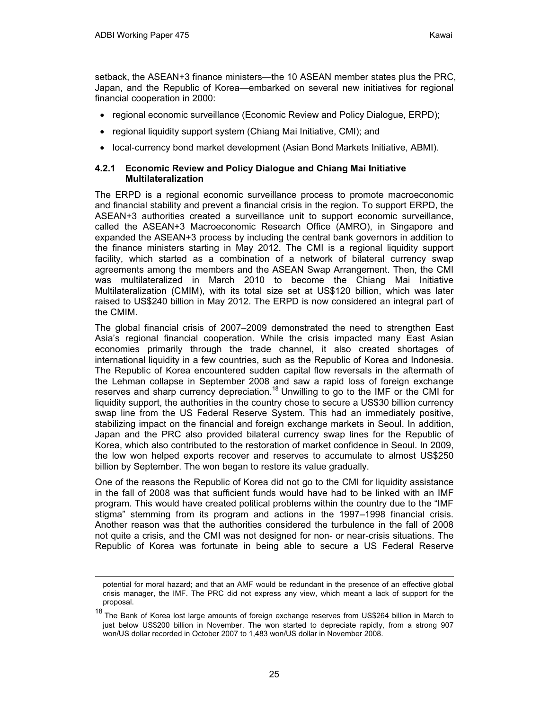setback, the ASEAN+3 finance ministers—the 10 ASEAN member states plus the PRC, Japan, and the Republic of Korea—embarked on several new initiatives for regional financial cooperation in 2000:

- regional economic surveillance (Economic Review and Policy Dialogue, ERPD);
- regional liquidity support system (Chiang Mai Initiative, CMI); and
- local-currency bond market development (Asian Bond Markets Initiative, ABMI).

#### **4.2.1 Economic Review and Policy Dialogue and Chiang Mai Initiative Multilateralization**

The ERPD is a regional economic surveillance process to promote macroeconomic and financial stability and prevent a financial crisis in the region. To support ERPD, the ASEAN+3 authorities created a surveillance unit to support economic surveillance, called the ASEAN+3 Macroeconomic Research Office (AMRO), in Singapore and expanded the ASEAN+3 process by including the central bank governors in addition to the finance ministers starting in May 2012. The CMI is a regional liquidity support facility, which started as a combination of a network of bilateral currency swap agreements among the members and the ASEAN Swap Arrangement. Then, the CMI was multilateralized in March 2010 to become the Chiang Mai Initiative Multilateralization (CMIM), with its total size set at US\$120 billion, which was later raised to US\$240 billion in May 2012. The ERPD is now considered an integral part of the CMIM.

The global financial crisis of 2007–2009 demonstrated the need to strengthen East Asia's regional financial cooperation. While the crisis impacted many East Asian economies primarily through the trade channel, it also created shortages of international liquidity in a few countries, such as the Republic of Korea and Indonesia. The Republic of Korea encountered sudden capital flow reversals in the aftermath of the Lehman collapse in September 2008 and saw a rapid loss of foreign exchange reserves and sharp currency depreciation.<sup>18</sup> Unwilling to go to the IMF or the CMI for liquidity support, the authorities in the country chose to secure a US\$30 billion currency swap line from the US Federal Reserve System. This had an immediately positive, stabilizing impact on the financial and foreign exchange markets in Seoul. In addition, Japan and the PRC also provided bilateral currency swap lines for the Republic of Korea, which also contributed to the restoration of market confidence in Seoul. In 2009, the low won helped exports recover and reserves to accumulate to almost US\$250 billion by September. The won began to restore its value gradually.

One of the reasons the Republic of Korea did not go to the CMI for liquidity assistance in the fall of 2008 was that sufficient funds would have had to be linked with an IMF program. This would have created political problems within the country due to the "IMF stigma" stemming from its program and actions in the 1997–1998 financial crisis. Another reason was that the authorities considered the turbulence in the fall of 2008 not quite a crisis, and the CMI was not designed for non- or near-crisis situations. The Republic of Korea was fortunate in being able to secure a US Federal Reserve

potential for moral hazard; and that an AMF would be redundant in the presence of an effective global crisis manager, the IMF. The PRC did not express any view, which meant a lack of support for the proposal.

<sup>&</sup>lt;sup>18</sup> The Bank of Korea lost large amounts of foreign exchange reserves from US\$264 billion in March to just below US\$200 billion in November. The won started to depreciate rapidly, from a strong 907 won/US dollar recorded in October 2007 to 1,483 won/US dollar in November 2008.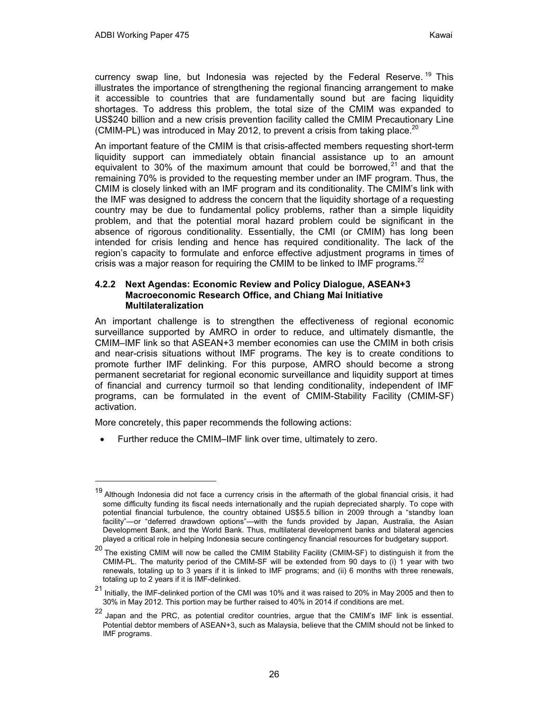$\overline{a}$ 

currency swap line, but Indonesia was rejected by the Federal Reserve.<sup>19</sup> This illustrates the importance of strengthening the regional financing arrangement to make it accessible to countries that are fundamentally sound but are facing liquidity shortages. To address this problem, the total size of the CMIM was expanded to US\$240 billion and a new crisis prevention facility called the CMIM Precautionary Line (CMIM-PL) was introduced in May 2012, to prevent a crisis from taking place.<sup>20</sup>

An important feature of the CMIM is that crisis-affected members requesting short-term liquidity support can immediately obtain financial assistance up to an amount equivalent to 30% of the maximum amount that could be borrowed.<sup>21</sup> and that the remaining 70% is provided to the requesting member under an IMF program. Thus, the CMIM is closely linked with an IMF program and its conditionality. The CMIM's link with the IMF was designed to address the concern that the liquidity shortage of a requesting country may be due to fundamental policy problems, rather than a simple liquidity problem, and that the potential moral hazard problem could be significant in the absence of rigorous conditionality. Essentially, the CMI (or CMIM) has long been intended for crisis lending and hence has required conditionality. The lack of the region's capacity to formulate and enforce effective adjustment programs in times of crisis was a major reason for requiring the CMIM to be linked to IMF programs.<sup>22</sup>

#### **4.2.2 Next Agendas: Economic Review and Policy Dialogue, ASEAN+3 Macroeconomic Research Office, and Chiang Mai Initiative Multilateralization**

An important challenge is to strengthen the effectiveness of regional economic surveillance supported by AMRO in order to reduce, and ultimately dismantle, the CMIM–IMF link so that ASEAN+3 member economies can use the CMIM in both crisis and near-crisis situations without IMF programs. The key is to create conditions to promote further IMF delinking. For this purpose, AMRO should become a strong permanent secretariat for regional economic surveillance and liquidity support at times of financial and currency turmoil so that lending conditionality, independent of IMF programs, can be formulated in the event of CMIM-Stability Facility (CMIM-SF) activation.

More concretely, this paper recommends the following actions:

-Further reduce the CMIM–IMF link over time, ultimately to zero.

<sup>&</sup>lt;sup>19</sup> Although Indonesia did not face a currency crisis in the aftermath of the global financial crisis, it had some difficulty funding its fiscal needs internationally and the rupiah depreciated sharply. To cope with potential financial turbulence, the country obtained US\$5.5 billion in 2009 through a "standby loan facility"—or "deferred drawdown options"—with the funds provided by Japan, Australia, the Asian Development Bank, and the World Bank. Thus, multilateral development banks and bilateral agencies played a critical role in helping Indonesia secure contingency financial resources for budgetary support.

<sup>&</sup>lt;sup>20</sup> The existing CMIM will now be called the CMIM Stability Facility (CMIM-SF) to distinguish it from the CMIM-PL. The maturity period of the CMIM-SF will be extended from 90 days to (i) 1 year with two renewals, totaling up to 3 years if it is linked to IMF programs; and (ii) 6 months with three renewals, totaling up to 2 years if it is IMF-delinked.

<sup>&</sup>lt;sup>21</sup> Initially, the IMF-delinked portion of the CMI was 10% and it was raised to 20% in May 2005 and then to 30% in May 2012. This portion may be further raised to 40% in 2014 if conditions are met.

 $22$  Japan and the PRC, as potential creditor countries, argue that the CMIM's IMF link is essential. Potential debtor members of ASEAN+3, such as Malaysia, believe that the CMIM should not be linked to IMF programs.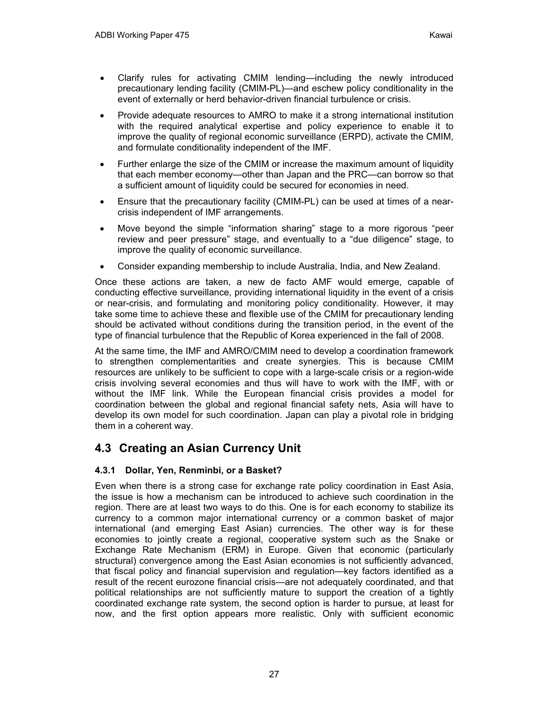- - Clarify rules for activating CMIM lending—including the newly introduced precautionary lending facility (CMIM-PL)—and eschew policy conditionality in the event of externally or herd behavior-driven financial turbulence or crisis.
- - Provide adequate resources to AMRO to make it a strong international institution with the required analytical expertise and policy experience to enable it to improve the quality of regional economic surveillance (ERPD), activate the CMIM, and formulate conditionality independent of the IMF.
- $\bullet$  Further enlarge the size of the CMIM or increase the maximum amount of liquidity that each member economy—other than Japan and the PRC—can borrow so that a sufficient amount of liquidity could be secured for economies in need.
- - Ensure that the precautionary facility (CMIM-PL) can be used at times of a nearcrisis independent of IMF arrangements.
- - Move beyond the simple "information sharing" stage to a more rigorous "peer review and peer pressure" stage, and eventually to a "due diligence" stage, to improve the quality of economic surveillance.
- -Consider expanding membership to include Australia, India, and New Zealand.

Once these actions are taken, a new de facto AMF would emerge, capable of conducting effective surveillance, providing international liquidity in the event of a crisis or near-crisis, and formulating and monitoring policy conditionality. However, it may take some time to achieve these and flexible use of the CMIM for precautionary lending should be activated without conditions during the transition period, in the event of the type of financial turbulence that the Republic of Korea experienced in the fall of 2008.

At the same time, the IMF and AMRO/CMIM need to develop a coordination framework to strengthen complementarities and create synergies. This is because CMIM resources are unlikely to be sufficient to cope with a large-scale crisis or a region-wide crisis involving several economies and thus will have to work with the IMF, with or without the IMF link. While the European financial crisis provides a model for coordination between the global and regional financial safety nets, Asia will have to develop its own model for such coordination. Japan can play a pivotal role in bridging them in a coherent way.

## **4.3 Creating an Asian Currency Unit**

## **4.3.1 Dollar, Yen, Renminbi, or a Basket?**

Even when there is a strong case for exchange rate policy coordination in East Asia, the issue is how a mechanism can be introduced to achieve such coordination in the region. There are at least two ways to do this. One is for each economy to stabilize its currency to a common major international currency or a common basket of major international (and emerging East Asian) currencies. The other way is for these economies to jointly create a regional, cooperative system such as the Snake or Exchange Rate Mechanism (ERM) in Europe. Given that economic (particularly structural) convergence among the East Asian economies is not sufficiently advanced, that fiscal policy and financial supervision and regulation—key factors identified as a result of the recent eurozone financial crisis—are not adequately coordinated, and that political relationships are not sufficiently mature to support the creation of a tightly coordinated exchange rate system, the second option is harder to pursue, at least for now, and the first option appears more realistic. Only with sufficient economic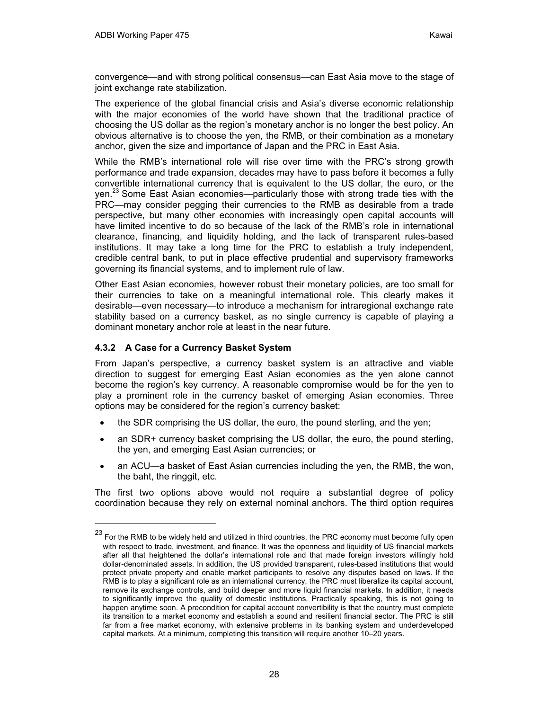convergence—and with strong political consensus—can East Asia move to the stage of joint exchange rate stabilization.

The experience of the global financial crisis and Asia's diverse economic relationship with the major economies of the world have shown that the traditional practice of choosing the US dollar as the region's monetary anchor is no longer the best policy. An obvious alternative is to choose the yen, the RMB, or their combination as a monetary anchor, given the size and importance of Japan and the PRC in East Asia.

While the RMB's international role will rise over time with the PRC's strong growth performance and trade expansion, decades may have to pass before it becomes a fully convertible international currency that is equivalent to the US dollar, the euro, or the yen.<sup>23</sup> Some East Asian economies—particularly those with strong trade ties with the PRC—may consider pegging their currencies to the RMB as desirable from a trade perspective, but many other economies with increasingly open capital accounts will have limited incentive to do so because of the lack of the RMB's role in international clearance, financing, and liquidity holding, and the lack of transparent rules-based institutions. It may take a long time for the PRC to establish a truly independent, credible central bank, to put in place effective prudential and supervisory frameworks governing its financial systems, and to implement rule of law.

Other East Asian economies, however robust their monetary policies, are too small for their currencies to take on a meaningful international role. This clearly makes it desirable—even necessary—to introduce a mechanism for intraregional exchange rate stability based on a currency basket, as no single currency is capable of playing a dominant monetary anchor role at least in the near future.

### **4.3.2 A Case for a Currency Basket System**

-

From Japan's perspective, a currency basket system is an attractive and viable direction to suggest for emerging East Asian economies as the yen alone cannot become the region's key currency. A reasonable compromise would be for the yen to play a prominent role in the currency basket of emerging Asian economies. Three options may be considered for the region's currency basket:

- the SDR comprising the US dollar, the euro, the pound sterling, and the yen;
- $\bullet$  an SDR+ currency basket comprising the US dollar, the euro, the pound sterling, the yen, and emerging East Asian currencies; or
- an ACU—a basket of East Asian currencies including the yen, the RMB, the won, the baht, the ringgit, etc.

The first two options above would not require a substantial degree of policy coordination because they rely on external nominal anchors. The third option requires

 $^{23}$  For the RMB to be widely held and utilized in third countries, the PRC economy must become fully open with respect to trade, investment, and finance. It was the openness and liquidity of US financial markets after all that heightened the dollar's international role and that made foreign investors willingly hold dollar-denominated assets. In addition, the US provided transparent, rules-based institutions that would protect private property and enable market participants to resolve any disputes based on laws. If the RMB is to play a significant role as an international currency, the PRC must liberalize its capital account, remove its exchange controls, and build deeper and more liquid financial markets. In addition, it needs to significantly improve the quality of domestic institutions. Practically speaking, this is not going to happen anytime soon. A precondition for capital account convertibility is that the country must complete its transition to a market economy and establish a sound and resilient financial sector. The PRC is still far from a free market economy, with extensive problems in its banking system and underdeveloped capital markets. At a minimum, completing this transition will require another 10–20 years.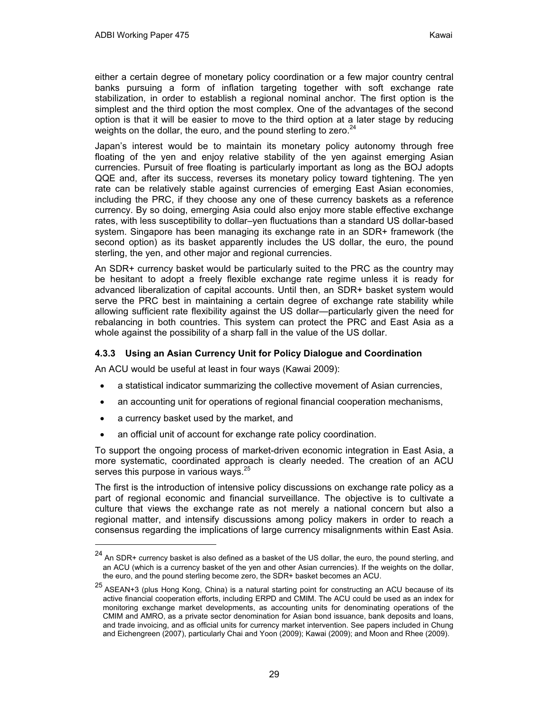either a certain degree of monetary policy coordination or a few major country central banks pursuing a form of inflation targeting together with soft exchange rate stabilization, in order to establish a regional nominal anchor. The first option is the simplest and the third option the most complex. One of the advantages of the second option is that it will be easier to move to the third option at a later stage by reducing weights on the dollar, the euro, and the pound sterling to zero.  $24$ 

Japan's interest would be to maintain its monetary policy autonomy through free floating of the yen and enjoy relative stability of the yen against emerging Asian currencies. Pursuit of free floating is particularly important as long as the BOJ adopts QQE and, after its success, reverses its monetary policy toward tightening. The yen rate can be relatively stable against currencies of emerging East Asian economies, including the PRC, if they choose any one of these currency baskets as a reference currency. By so doing, emerging Asia could also enjoy more stable effective exchange rates, with less susceptibility to dollar–yen fluctuations than a standard US dollar-based system. Singapore has been managing its exchange rate in an SDR+ framework (the second option) as its basket apparently includes the US dollar, the euro, the pound sterling, the yen, and other major and regional currencies.

An SDR+ currency basket would be particularly suited to the PRC as the country may be hesitant to adopt a freely flexible exchange rate regime unless it is ready for advanced liberalization of capital accounts. Until then, an SDR+ basket system would serve the PRC best in maintaining a certain degree of exchange rate stability while allowing sufficient rate flexibility against the US dollar—particularly given the need for rebalancing in both countries. This system can protect the PRC and East Asia as a whole against the possibility of a sharp fall in the value of the US dollar.

### **4.3.3 Using an Asian Currency Unit for Policy Dialogue and Coordination**

An ACU would be useful at least in four ways (Kawai 2009):

- $\bullet$ a statistical indicator summarizing the collective movement of Asian currencies,
- $\bullet$ an accounting unit for operations of regional financial cooperation mechanisms,
- a currency basket used by the market, and

-

an official unit of account for exchange rate policy coordination.

To support the ongoing process of market-driven economic integration in East Asia, a more systematic, coordinated approach is clearly needed. The creation of an ACU serves this purpose in various ways.<sup>25</sup>

The first is the introduction of intensive policy discussions on exchange rate policy as a part of regional economic and financial surveillance. The objective is to cultivate a culture that views the exchange rate as not merely a national concern but also a regional matter, and intensify discussions among policy makers in order to reach a consensus regarding the implications of large currency misalignments within East Asia.

<sup>24</sup> An SDR+ currency basket is also defined as a basket of the US dollar, the euro, the pound sterling, and an ACU (which is a currency basket of the yen and other Asian currencies). If the weights on the dollar, the euro, and the pound sterling become zero, the SDR+ basket becomes an ACU.

 $25$  ASEAN+3 (plus Hong Kong, China) is a natural starting point for constructing an ACU because of its active financial cooperation efforts, including ERPD and CMIM. The ACU could be used as an index for monitoring exchange market developments, as accounting units for denominating operations of the CMIM and AMRO, as a private sector denomination for Asian bond issuance, bank deposits and loans, and trade invoicing, and as official units for currency market intervention. See papers included in Chung and Eichengreen (2007), particularly Chai and Yoon (2009); Kawai (2009); and Moon and Rhee (2009).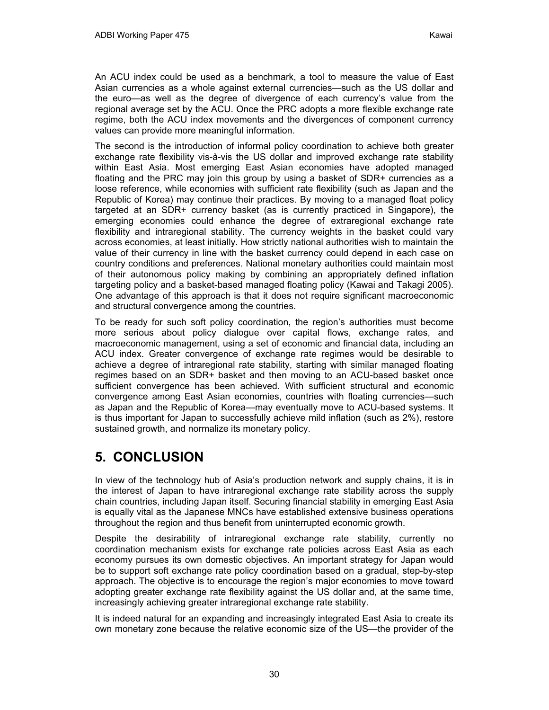An ACU index could be used as a benchmark, a tool to measure the value of East Asian currencies as a whole against external currencies—such as the US dollar and the euro—as well as the degree of divergence of each currency's value from the regional average set by the ACU. Once the PRC adopts a more flexible exchange rate regime, both the ACU index movements and the divergences of component currency values can provide more meaningful information.

The second is the introduction of informal policy coordination to achieve both greater exchange rate flexibility vis-à-vis the US dollar and improved exchange rate stability within East Asia. Most emerging East Asian economies have adopted managed floating and the PRC may join this group by using a basket of SDR+ currencies as a loose reference, while economies with sufficient rate flexibility (such as Japan and the Republic of Korea) may continue their practices. By moving to a managed float policy targeted at an SDR+ currency basket (as is currently practiced in Singapore), the emerging economies could enhance the degree of extraregional exchange rate flexibility and intraregional stability. The currency weights in the basket could vary across economies, at least initially. How strictly national authorities wish to maintain the value of their currency in line with the basket currency could depend in each case on country conditions and preferences. National monetary authorities could maintain most of their autonomous policy making by combining an appropriately defined inflation targeting policy and a basket-based managed floating policy (Kawai and Takagi 2005). One advantage of this approach is that it does not require significant macroeconomic and structural convergence among the countries.

To be ready for such soft policy coordination, the region's authorities must become more serious about policy dialogue over capital flows, exchange rates, and macroeconomic management, using a set of economic and financial data, including an ACU index. Greater convergence of exchange rate regimes would be desirable to achieve a degree of intraregional rate stability, starting with similar managed floating regimes based on an SDR+ basket and then moving to an ACU-based basket once sufficient convergence has been achieved. With sufficient structural and economic convergence among East Asian economies, countries with floating currencies—such as Japan and the Republic of Korea—may eventually move to ACU-based systems. It is thus important for Japan to successfully achieve mild inflation (such as 2%), restore sustained growth, and normalize its monetary policy.

# **5. CONCLUSION**

In view of the technology hub of Asia's production network and supply chains, it is in the interest of Japan to have intraregional exchange rate stability across the supply chain countries, including Japan itself. Securing financial stability in emerging East Asia is equally vital as the Japanese MNCs have established extensive business operations throughout the region and thus benefit from uninterrupted economic growth.

Despite the desirability of intraregional exchange rate stability, currently no coordination mechanism exists for exchange rate policies across East Asia as each economy pursues its own domestic objectives. An important strategy for Japan would be to support soft exchange rate policy coordination based on a gradual, step-by-step approach. The objective is to encourage the region's major economies to move toward adopting greater exchange rate flexibility against the US dollar and, at the same time, increasingly achieving greater intraregional exchange rate stability.

It is indeed natural for an expanding and increasingly integrated East Asia to create its own monetary zone because the relative economic size of the US—the provider of the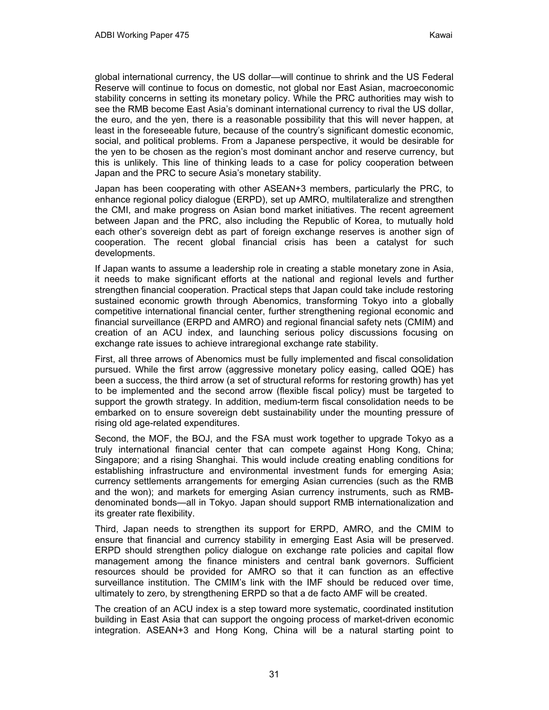global international currency, the US dollar—will continue to shrink and the US Federal Reserve will continue to focus on domestic, not global nor East Asian, macroeconomic stability concerns in setting its monetary policy. While the PRC authorities may wish to see the RMB become East Asia's dominant international currency to rival the US dollar, the euro, and the yen, there is a reasonable possibility that this will never happen, at least in the foreseeable future, because of the country's significant domestic economic, social, and political problems. From a Japanese perspective, it would be desirable for the yen to be chosen as the region's most dominant anchor and reserve currency, but this is unlikely. This line of thinking leads to a case for policy cooperation between Japan and the PRC to secure Asia's monetary stability.

Japan has been cooperating with other ASEAN+3 members, particularly the PRC, to enhance regional policy dialogue (ERPD), set up AMRO, multilateralize and strengthen the CMI, and make progress on Asian bond market initiatives. The recent agreement between Japan and the PRC, also including the Republic of Korea, to mutually hold each other's sovereign debt as part of foreign exchange reserves is another sign of cooperation. The recent global financial crisis has been a catalyst for such developments.

If Japan wants to assume a leadership role in creating a stable monetary zone in Asia, it needs to make significant efforts at the national and regional levels and further strengthen financial cooperation. Practical steps that Japan could take include restoring sustained economic growth through Abenomics, transforming Tokyo into a globally competitive international financial center, further strengthening regional economic and financial surveillance (ERPD and AMRO) and regional financial safety nets (CMIM) and creation of an ACU index, and launching serious policy discussions focusing on exchange rate issues to achieve intraregional exchange rate stability.

First, all three arrows of Abenomics must be fully implemented and fiscal consolidation pursued. While the first arrow (aggressive monetary policy easing, called QQE) has been a success, the third arrow (a set of structural reforms for restoring growth) has yet to be implemented and the second arrow (flexible fiscal policy) must be targeted to support the growth strategy. In addition, medium-term fiscal consolidation needs to be embarked on to ensure sovereign debt sustainability under the mounting pressure of rising old age-related expenditures.

Second, the MOF, the BOJ, and the FSA must work together to upgrade Tokyo as a truly international financial center that can compete against Hong Kong, China; Singapore; and a rising Shanghai. This would include creating enabling conditions for establishing infrastructure and environmental investment funds for emerging Asia; currency settlements arrangements for emerging Asian currencies (such as the RMB and the won); and markets for emerging Asian currency instruments, such as RMBdenominated bonds—all in Tokyo. Japan should support RMB internationalization and its greater rate flexibility.

Third, Japan needs to strengthen its support for ERPD, AMRO, and the CMIM to ensure that financial and currency stability in emerging East Asia will be preserved. ERPD should strengthen policy dialogue on exchange rate policies and capital flow management among the finance ministers and central bank governors. Sufficient resources should be provided for AMRO so that it can function as an effective surveillance institution. The CMIM's link with the IMF should be reduced over time, ultimately to zero, by strengthening ERPD so that a de facto AMF will be created.

The creation of an ACU index is a step toward more systematic, coordinated institution building in East Asia that can support the ongoing process of market-driven economic integration. ASEAN+3 and Hong Kong, China will be a natural starting point to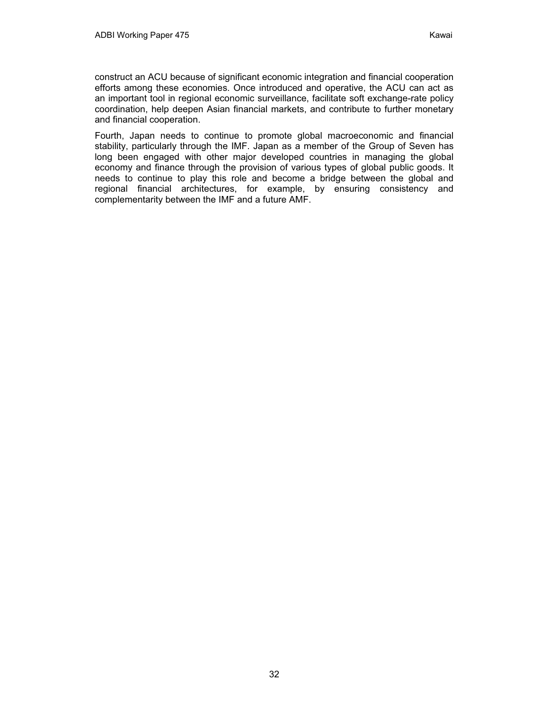construct an ACU because of significant economic integration and financial cooperation efforts among these economies. Once introduced and operative, the ACU can act as an important tool in regional economic surveillance, facilitate soft exchange-rate policy coordination, help deepen Asian financial markets, and contribute to further monetary and financial cooperation.

Fourth, Japan needs to continue to promote global macroeconomic and financial stability, particularly through the IMF. Japan as a member of the Group of Seven has long been engaged with other major developed countries in managing the global economy and finance through the provision of various types of global public goods. It needs to continue to play this role and become a bridge between the global and regional financial architectures, for example, by ensuring consistency and complementarity between the IMF and a future AMF.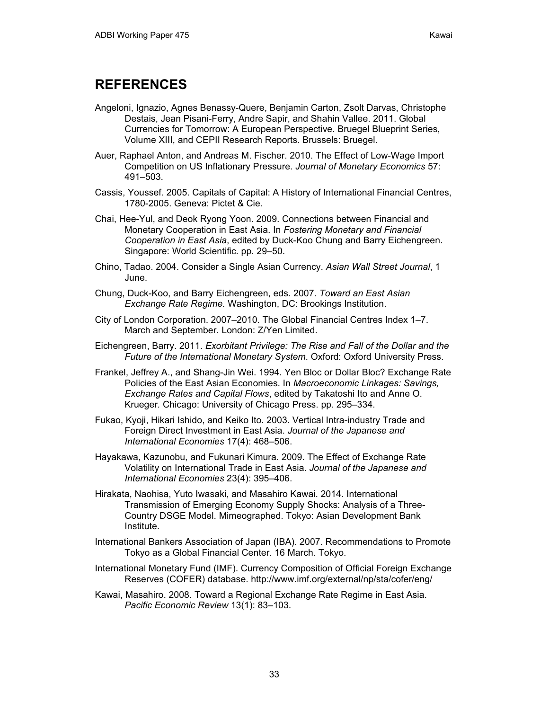# **REFERENCES**

- Angeloni, Ignazio, Agnes Benassy-Quere, Benjamin Carton, Zsolt Darvas, Christophe Destais, Jean Pisani-Ferry, Andre Sapir, and Shahin Vallee. 2011. Global Currencies for Tomorrow: A European Perspective. Bruegel Blueprint Series, Volume XIII, and CEPII Research Reports. Brussels: Bruegel.
- Auer, Raphael Anton, and Andreas M. Fischer. 2010. The Effect of Low-Wage Import Competition on US Inflationary Pressure. *Journal of Monetary Economics* 57: 491–503.
- Cassis, Youssef. 2005. Capitals of Capital: A History of International Financial Centres, 1780-2005. Geneva: Pictet & Cie.
- Chai, Hee-Yul, and Deok Ryong Yoon. 2009. Connections between Financial and Monetary Cooperation in East Asia. In *Fostering Monetary and Financial Cooperation in East Asia*, edited by Duck-Koo Chung and Barry Eichengreen. Singapore: World Scientific. pp. 29–50.
- Chino, Tadao. 2004. Consider a Single Asian Currency. *Asian Wall Street Journal*, 1 June.
- Chung, Duck-Koo, and Barry Eichengreen, eds. 2007. *Toward an East Asian Exchange Rate Regime.* Washington, DC: Brookings Institution.
- City of London Corporation. 2007–2010. The Global Financial Centres Index 1–7. March and September. London: Z/Yen Limited.
- Eichengreen, Barry. 2011. *Exorbitant Privilege: The Rise and Fall of the Dollar and the Future of the International Monetary System*. Oxford: Oxford University Press.
- Frankel, Jeffrey A., and Shang-Jin Wei. 1994. Yen Bloc or Dollar Bloc? Exchange Rate Policies of the East Asian Economies. In *Macroeconomic Linkages: Savings, Exchange Rates and Capital Flows*, edited by Takatoshi Ito and Anne O. Krueger*.* Chicago: University of Chicago Press. pp. 295–334.
- Fukao, Kyoji, Hikari Ishido, and Keiko Ito. 2003. Vertical Intra-industry Trade and Foreign Direct Investment in East Asia. *Journal of the Japanese and International Economies* 17(4): 468–506.
- Hayakawa, Kazunobu, and Fukunari Kimura. 2009. The Effect of Exchange Rate Volatility on International Trade in East Asia. *Journal of the Japanese and International Economies* 23(4): 395–406.
- Hirakata, Naohisa, Yuto Iwasaki, and Masahiro Kawai. 2014. International Transmission of Emerging Economy Supply Shocks: Analysis of a Three-Country DSGE Model. Mimeographed. Tokyo: Asian Development Bank Institute.
- International Bankers Association of Japan (IBA). 2007. Recommendations to Promote Tokyo as a Global Financial Center. 16 March. Tokyo.
- International Monetary Fund (IMF). Currency Composition of Official Foreign Exchange Reserves (COFER) database. http://www.imf.org/external/np/sta/cofer/eng/
- Kawai, Masahiro. 2008. Toward a Regional Exchange Rate Regime in East Asia. *Pacific Economic Review* 13(1): 83–103.